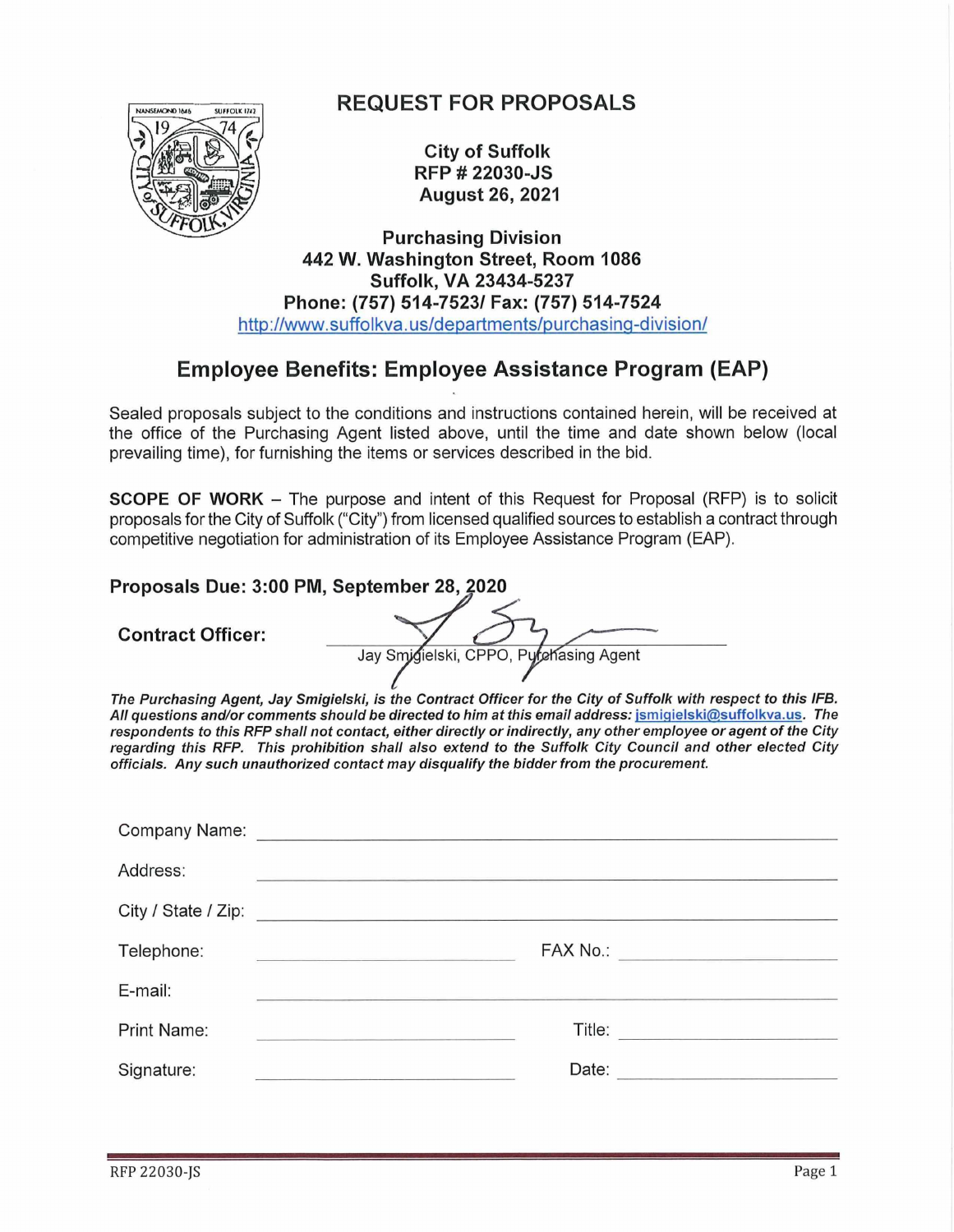

## **REQUEST FOR PROPOSALS**

**City of Suffolk** RFP # 22030-JS **August 26, 2021** 

**Purchasing Division** 442 W. Washington Street, Room 1086 Suffolk, VA 23434-5237 Phone: (757) 514-7523/ Fax: (757) 514-7524 http://www.suffolkva.us/departments/purchasing-division/

## **Employee Benefits: Employee Assistance Program (EAP)**

Sealed proposals subject to the conditions and instructions contained herein, will be received at the office of the Purchasing Agent listed above, until the time and date shown below (local prevailing time), for furnishing the items or services described in the bid.

**SCOPE OF WORK** – The purpose and intent of this Request for Proposal (RFP) is to solicit proposals for the City of Suffolk ("City") from licensed qualified sources to establish a contract through competitive negotiation for administration of its Employee Assistance Program (EAP).

#### Proposals Due: 3:00 PM, September 28, 2020

**Contract Officer:** 

chasing Agent Jay Smigielski, CPPO.  $P<sub>U</sub>$ 

The Purchasing Agent, Jay Smigielski, is the Contract Officer for the City of Suffolk with respect to this IFB. All questions and/or comments should be directed to him at this email address: jsmigielski@suffolkva.us. The respondents to this RFP shall not contact, either directly or indirectly, any other employee or agent of the City regarding this RFP. This prohibition shall also extend to the Suffolk City Council and other elected City officials. Any such unauthorized contact may disqualify the bidder from the procurement.

|                     | Company Name: <u>company of the company of the company of the company of the company of the company of the company</u> |
|---------------------|------------------------------------------------------------------------------------------------------------------------|
| Address:            |                                                                                                                        |
| City / State / Zip: | <u> 1980 - Jan Sterlinger, fransk politiker (d. 1980)</u>                                                              |
| Telephone:          | FAX No.: ______________________                                                                                        |
| E-mail:             |                                                                                                                        |
| Print Name:         |                                                                                                                        |
| Signature:          | Date:                                                                                                                  |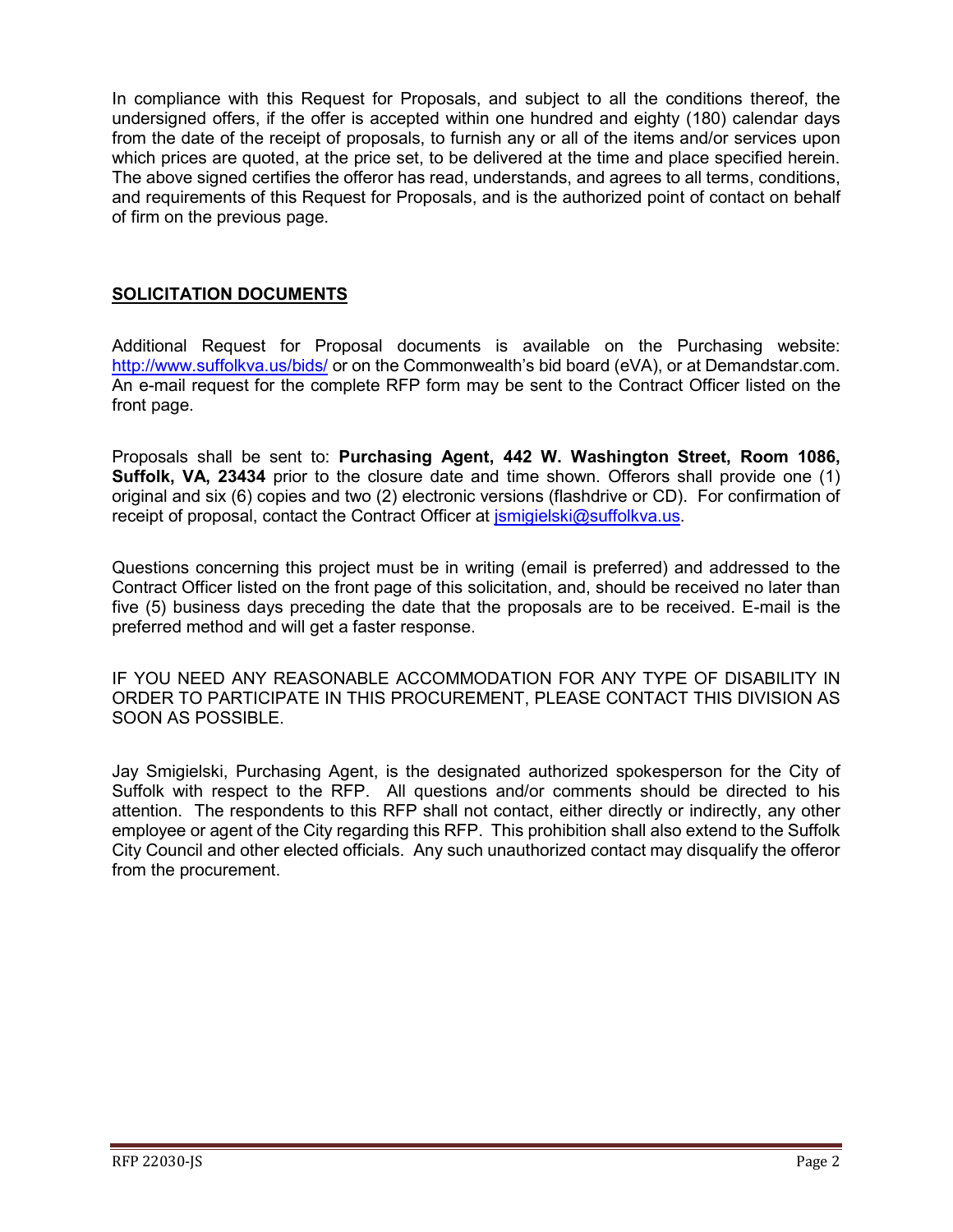In compliance with this Request for Proposals, and subject to all the conditions thereof, the undersigned offers, if the offer is accepted within one hundred and eighty (180) calendar days from the date of the receipt of proposals, to furnish any or all of the items and/or services upon which prices are quoted, at the price set, to be delivered at the time and place specified herein. The above signed certifies the offeror has read, understands, and agrees to all terms, conditions, and requirements of this Request for Proposals, and is the authorized point of contact on behalf of firm on the previous page.

#### **SOLICITATION DOCUMENTS**

Additional Request for Proposal documents is available on the Purchasing website: <http://www.suffolkva.us/bids/> or on the Commonwealth's bid board (eVA), or at Demandstar.com. An e-mail request for the complete RFP form may be sent to the Contract Officer listed on the front page.

Proposals shall be sent to: **Purchasing Agent, 442 W. Washington Street, Room 1086, Suffolk, VA, 23434** prior to the closure date and time shown. Offerors shall provide one (1) original and six (6) copies and two (2) electronic versions (flashdrive or CD). For confirmation of receipt of proposal, contact the Contract Officer at *ismigielski@suffolkva.us.* 

Questions concerning this project must be in writing (email is preferred) and addressed to the Contract Officer listed on the front page of this solicitation, and, should be received no later than five (5) business days preceding the date that the proposals are to be received. E-mail is the preferred method and will get a faster response.

IF YOU NEED ANY REASONABLE ACCOMMODATION FOR ANY TYPE OF DISABILITY IN ORDER TO PARTICIPATE IN THIS PROCUREMENT, PLEASE CONTACT THIS DIVISION AS SOON AS POSSIBLE.

Jay Smigielski, Purchasing Agent, is the designated authorized spokesperson for the City of Suffolk with respect to the RFP. All questions and/or comments should be directed to his attention. The respondents to this RFP shall not contact, either directly or indirectly, any other employee or agent of the City regarding this RFP. This prohibition shall also extend to the Suffolk City Council and other elected officials. Any such unauthorized contact may disqualify the offeror from the procurement.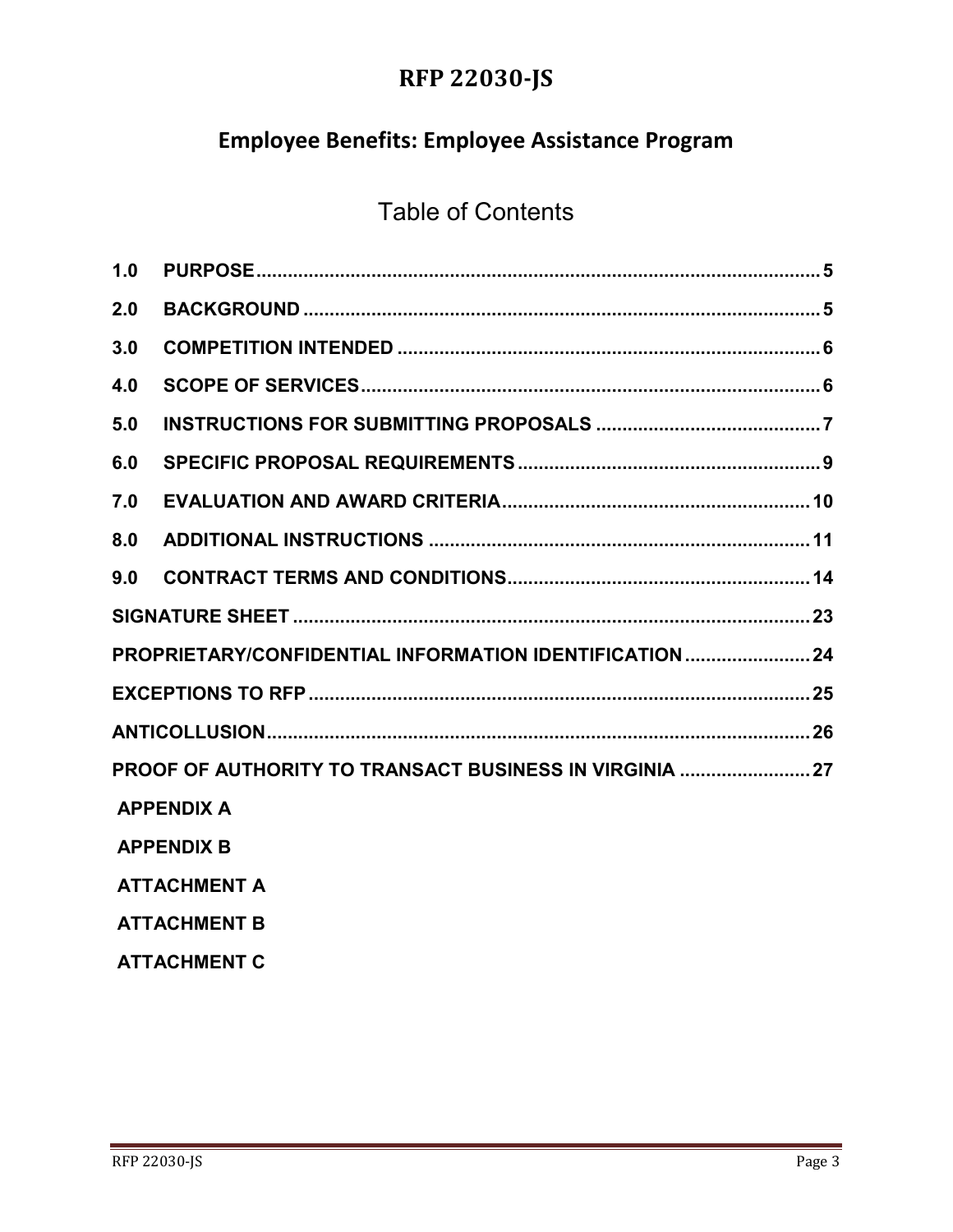# **RFP 22030-JS**

## **Employee Benefits: Employee Assistance Program**

# Table of Contents

| 1.0                                                            |                                                        |  |  |
|----------------------------------------------------------------|--------------------------------------------------------|--|--|
| 2.0                                                            |                                                        |  |  |
| 3.0                                                            |                                                        |  |  |
| 4.0                                                            |                                                        |  |  |
| 5.0                                                            |                                                        |  |  |
| 6.0                                                            |                                                        |  |  |
| 7.0                                                            |                                                        |  |  |
| 8.0                                                            |                                                        |  |  |
| 9.0                                                            |                                                        |  |  |
|                                                                |                                                        |  |  |
|                                                                | PROPRIETARY/CONFIDENTIAL INFORMATION IDENTIFICATION 24 |  |  |
|                                                                |                                                        |  |  |
|                                                                |                                                        |  |  |
| <b>PROOF OF AUTHORITY TO TRANSACT BUSINESS IN VIRGINIA  27</b> |                                                        |  |  |
| <b>APPENDIX A</b>                                              |                                                        |  |  |
| <b>APPENDIX B</b>                                              |                                                        |  |  |
| <b>ATTACHMENT A</b>                                            |                                                        |  |  |
| <b>ATTACHMENT B</b>                                            |                                                        |  |  |
|                                                                |                                                        |  |  |

**ATTACHMENT C**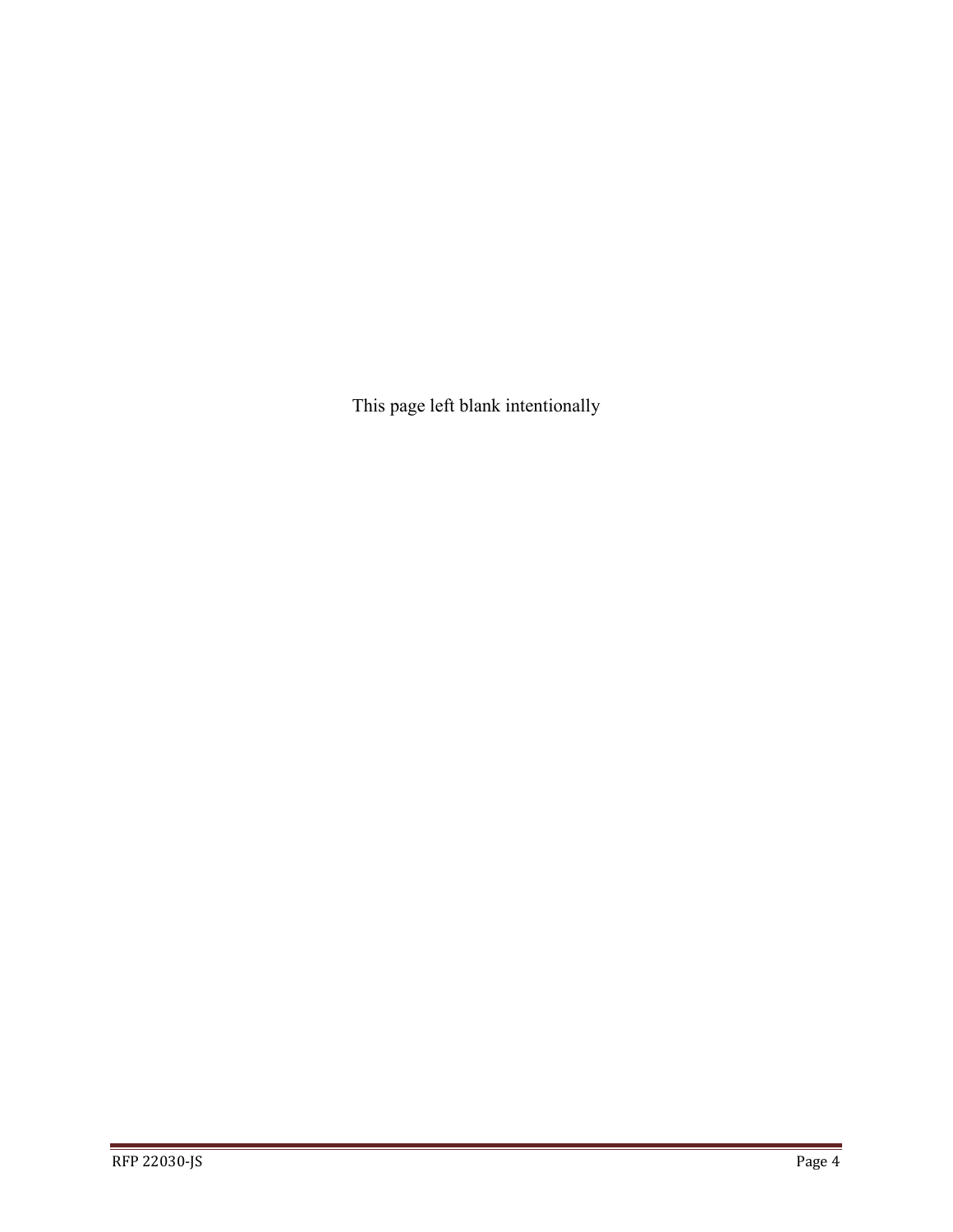This page left blank intentionally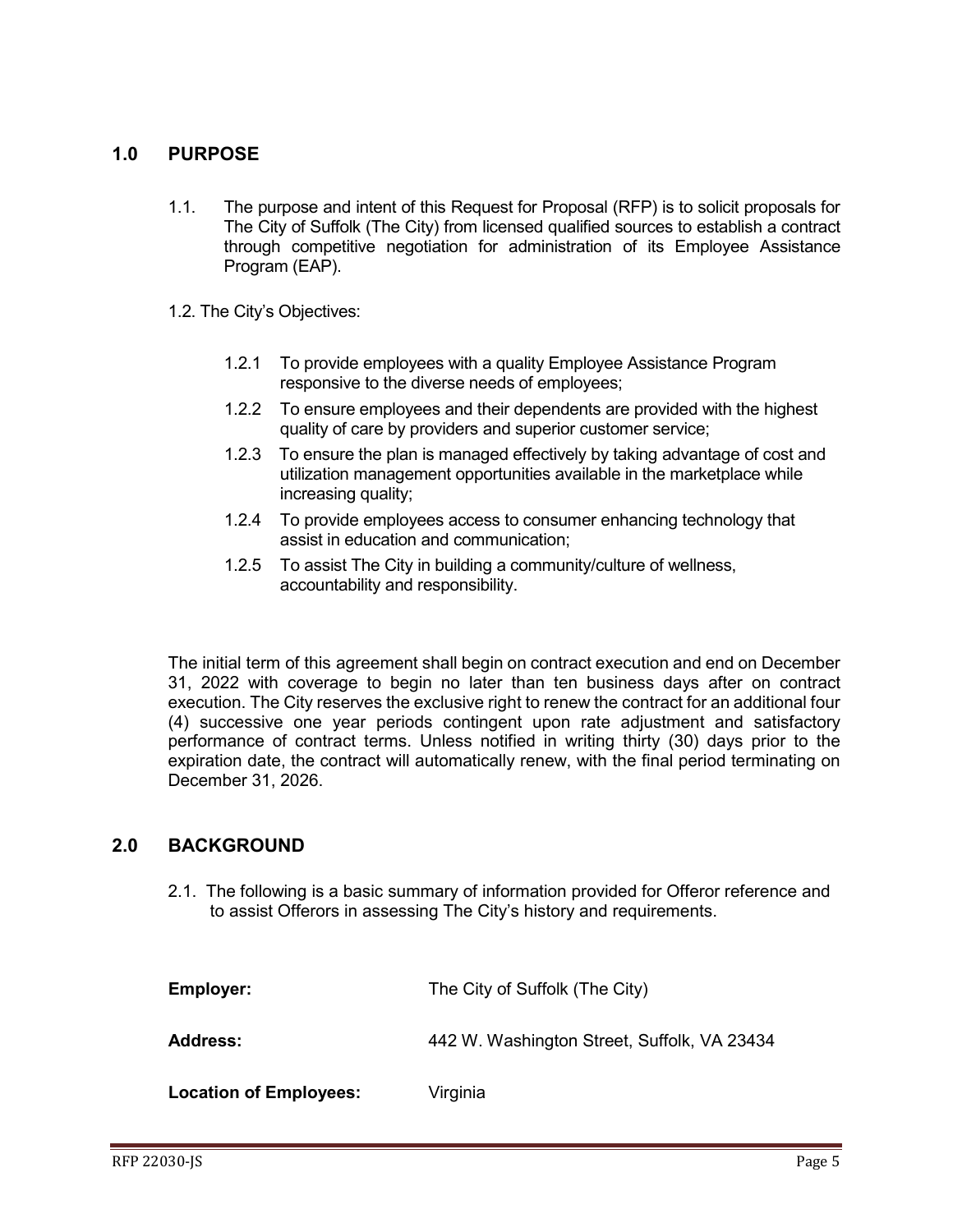#### <span id="page-4-0"></span>**1.0 PURPOSE**

1.1. The purpose and intent of this Request for Proposal (RFP) is to solicit proposals for The City of Suffolk (The City) from licensed qualified sources to establish a contract through competitive negotiation for administration of its Employee Assistance Program (EAP).

1.2. The City's Objectives:

- 1.2.1 To provide employees with a quality Employee Assistance Program responsive to the diverse needs of employees;
- 1.2.2 To ensure employees and their dependents are provided with the highest quality of care by providers and superior customer service;
- 1.2.3 To ensure the plan is managed effectively by taking advantage of cost and utilization management opportunities available in the marketplace while increasing quality;
- 1.2.4 To provide employees access to consumer enhancing technology that assist in education and communication;
- 1.2.5 To assist The City in building a community/culture of wellness, accountability and responsibility.

The initial term of this agreement shall begin on contract execution and end on December 31, 2022 with coverage to begin no later than ten business days after on contract execution. The City reserves the exclusive right to renew the contract for an additional four (4) successive one year periods contingent upon rate adjustment and satisfactory performance of contract terms. Unless notified in writing thirty (30) days prior to the expiration date, the contract will automatically renew, with the final period terminating on December 31, 2026.

#### <span id="page-4-1"></span>**2.0 BACKGROUND**

2.1. The following is a basic summary of information provided for Offeror reference and to assist Offerors in assessing The City's history and requirements.

| Employer:                     | The City of Suffolk (The City)              |
|-------------------------------|---------------------------------------------|
| <b>Address:</b>               | 442 W. Washington Street, Suffolk, VA 23434 |
| <b>Location of Employees:</b> | Virginia                                    |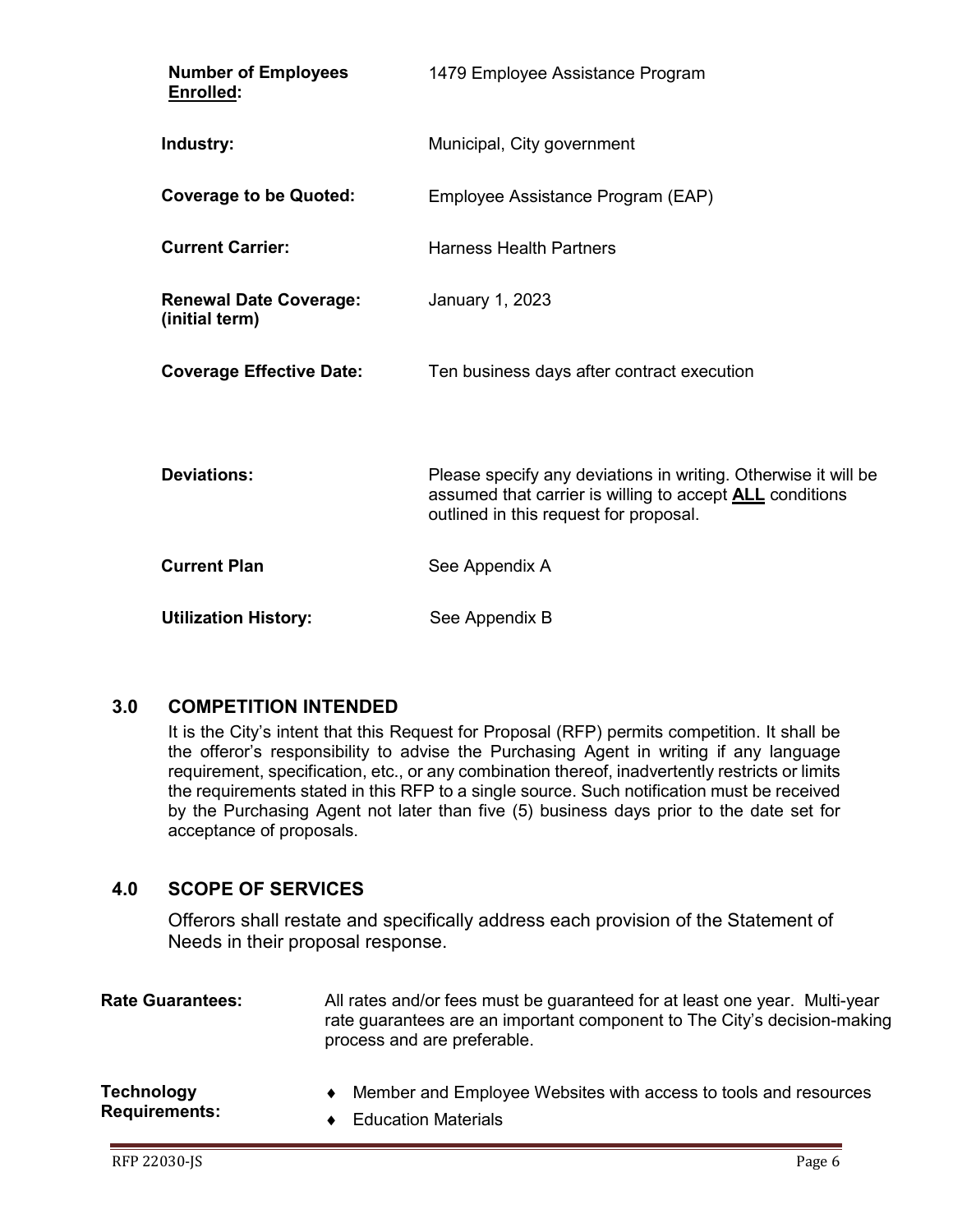| <b>Number of Employees</b><br>Enrolled:         | 1479 Employee Assistance Program                                                                                                                                            |
|-------------------------------------------------|-----------------------------------------------------------------------------------------------------------------------------------------------------------------------------|
| Industry:                                       | Municipal, City government                                                                                                                                                  |
| <b>Coverage to be Quoted:</b>                   | Employee Assistance Program (EAP)                                                                                                                                           |
| <b>Current Carrier:</b>                         | <b>Harness Health Partners</b>                                                                                                                                              |
| <b>Renewal Date Coverage:</b><br>(initial term) | January 1, 2023                                                                                                                                                             |
| <b>Coverage Effective Date:</b>                 | Ten business days after contract execution                                                                                                                                  |
| <b>Deviations:</b>                              | Please specify any deviations in writing. Otherwise it will be<br>assumed that carrier is willing to accept <b>ALL</b> conditions<br>outlined in this request for proposal. |
| <b>Current Plan</b>                             | See Appendix A                                                                                                                                                              |
| <b>Utilization History:</b>                     | See Appendix B                                                                                                                                                              |

### <span id="page-5-0"></span>**3.0 COMPETITION INTENDED**

It is the City's intent that this Request for Proposal (RFP) permits competition. It shall be the offeror's responsibility to advise the Purchasing Agent in writing if any language requirement, specification, etc., or any combination thereof, inadvertently restricts or limits the requirements stated in this RFP to a single source. Such notification must be received by the Purchasing Agent not later than five (5) business days prior to the date set for acceptance of proposals.

### <span id="page-5-1"></span>**4.0 SCOPE OF SERVICES**

Offerors shall restate and specifically address each provision of the Statement of Needs in their proposal response.

**Rate Guarantees:** All rates and/or fees must be guaranteed for at least one year. Multi-year rate guarantees are an important component to The City's decision-making process and are preferable.

#### **Technology Requirements:**

Member and Employee Websites with access to tools and resources **Education Materials**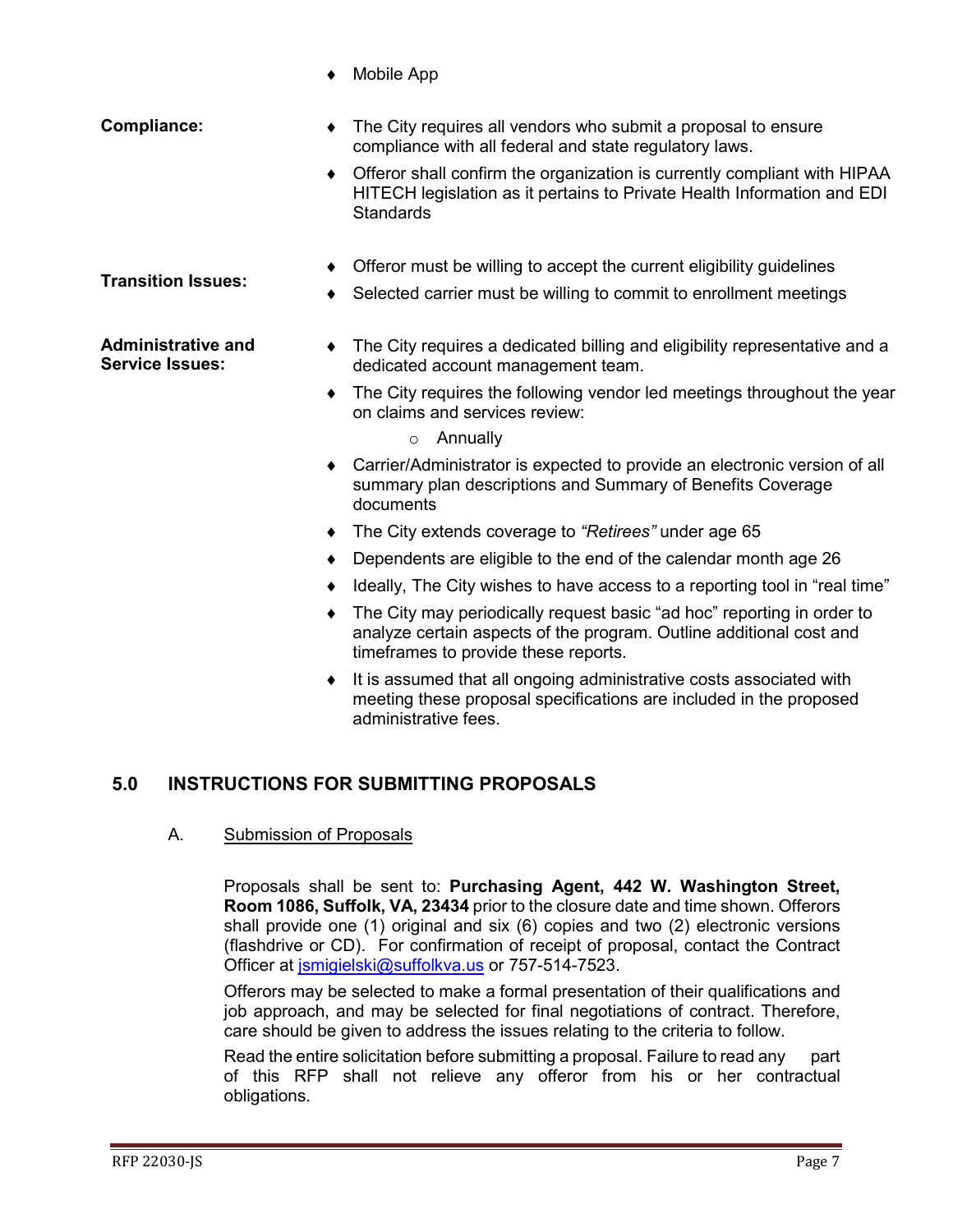|                                                     | ٠               | Mobile App                                                                                                                                                                                                                                                                                         |
|-----------------------------------------------------|-----------------|----------------------------------------------------------------------------------------------------------------------------------------------------------------------------------------------------------------------------------------------------------------------------------------------------|
| <b>Compliance:</b>                                  | ٠<br>٠          | The City requires all vendors who submit a proposal to ensure<br>compliance with all federal and state regulatory laws.<br>Offeror shall confirm the organization is currently compliant with HIPAA<br>HITECH legislation as it pertains to Private Health Information and EDI<br><b>Standards</b> |
|                                                     | ٠               | Offeror must be willing to accept the current eligibility guidelines                                                                                                                                                                                                                               |
| <b>Transition Issues:</b>                           |                 | Selected carrier must be willing to commit to enrollment meetings                                                                                                                                                                                                                                  |
| <b>Administrative and</b><br><b>Service Issues:</b> | ٠               | The City requires a dedicated billing and eligibility representative and a<br>dedicated account management team.                                                                                                                                                                                   |
|                                                     | ٠               | The City requires the following vendor led meetings throughout the year<br>on claims and services review:                                                                                                                                                                                          |
|                                                     |                 | Annually<br>$\circ$                                                                                                                                                                                                                                                                                |
|                                                     |                 | • Carrier/Administrator is expected to provide an electronic version of all<br>summary plan descriptions and Summary of Benefits Coverage<br>documents                                                                                                                                             |
|                                                     | ٠               | The City extends coverage to "Retirees" under age 65                                                                                                                                                                                                                                               |
|                                                     | ٠               | Dependents are eligible to the end of the calendar month age 26                                                                                                                                                                                                                                    |
|                                                     | ٠               | ldeally, The City wishes to have access to a reporting tool in "real time"                                                                                                                                                                                                                         |
|                                                     | $\blacklozenge$ | The City may periodically request basic "ad hoc" reporting in order to<br>analyze certain aspects of the program. Outline additional cost and<br>timeframes to provide these reports.                                                                                                              |
|                                                     | ٠               | It is assumed that all ongoing administrative costs associated with<br>meeting these proposal specifications are included in the proposed                                                                                                                                                          |

### <span id="page-6-0"></span>**5.0 INSTRUCTIONS FOR SUBMITTING PROPOSALS**

administrative fees.

#### A. Submission of Proposals

Proposals shall be sent to: **Purchasing Agent, 442 W. Washington Street, Room 1086, Suffolk, VA, 23434** prior to the closure date and time shown. Offerors shall provide one (1) original and six (6) copies and two (2) electronic versions (flashdrive or CD). For confirmation of receipt of proposal, contact the Contract Officer at **jsmigielski@suffolkva.us** or 757-514-7523.

Offerors may be selected to make a formal presentation of their qualifications and job approach, and may be selected for final negotiations of contract. Therefore, care should be given to address the issues relating to the criteria to follow.

Read the entire solicitation before submitting a proposal. Failure to read any part of this RFP shall not relieve any offeror from his or her contractual obligations.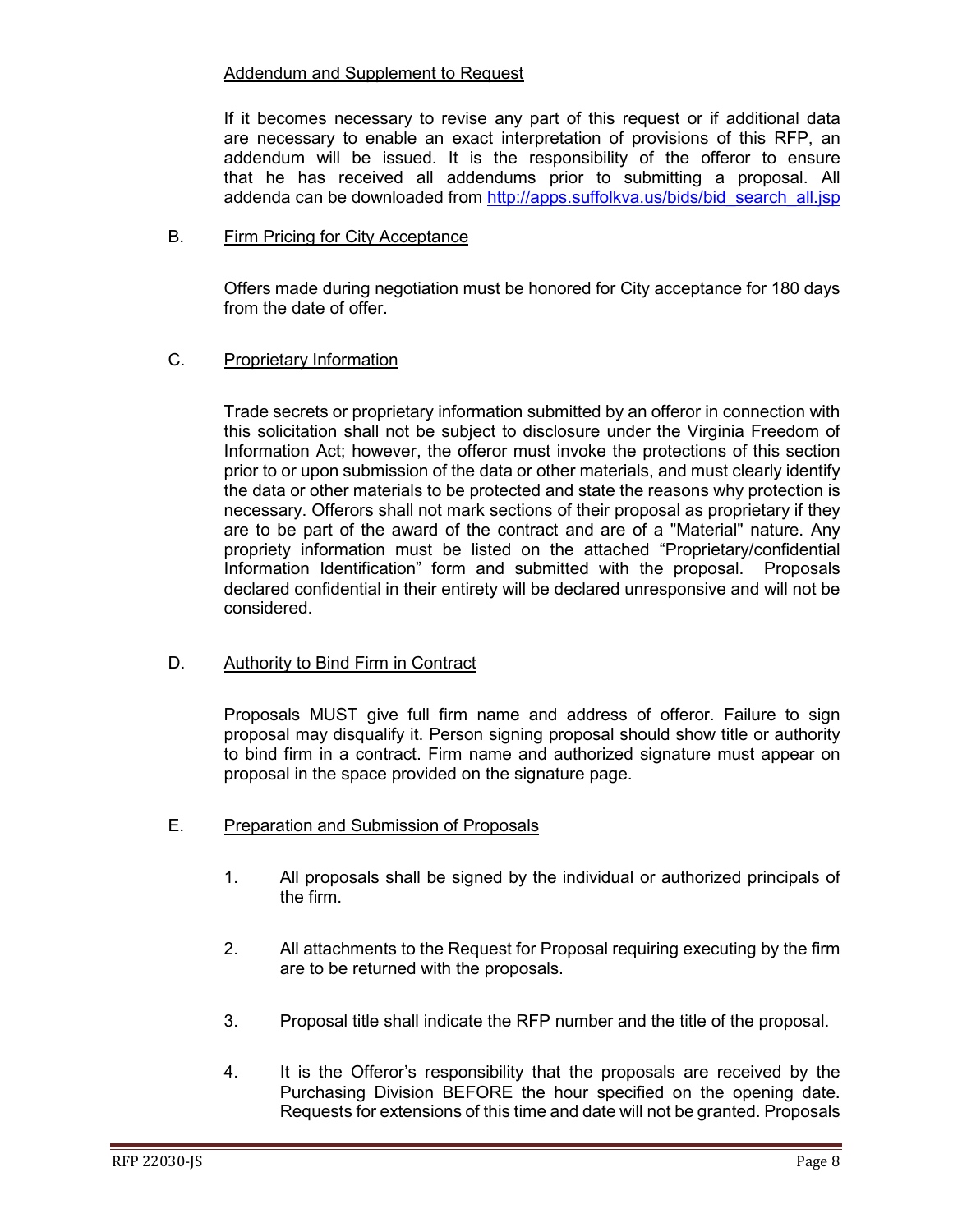#### Addendum and Supplement to Request

If it becomes necessary to revise any part of this request or if additional data are necessary to enable an exact interpretation of provisions of this RFP, an addendum will be issued. It is the responsibility of the offeror to ensure that he has received all addendums prior to submitting a proposal. All addenda can be downloaded from [http://apps.suffolkva.us/bids/bid\\_search\\_all.jsp](http://apps.suffolkva.us/bids/bid_search_all.jsp)

#### B. Firm Pricing for City Acceptance

Offers made during negotiation must be honored for City acceptance for 180 days from the date of offer.

#### C. Proprietary Information

Trade secrets or proprietary information submitted by an offeror in connection with this solicitation shall not be subject to disclosure under the Virginia Freedom of Information Act; however, the offeror must invoke the protections of this section prior to or upon submission of the data or other materials, and must clearly identify the data or other materials to be protected and state the reasons why protection is necessary. Offerors shall not mark sections of their proposal as proprietary if they are to be part of the award of the contract and are of a "Material" nature. Any propriety information must be listed on the attached "Proprietary/confidential Information Identification" form and submitted with the proposal. Proposals declared confidential in their entirety will be declared unresponsive and will not be considered.

#### D. Authority to Bind Firm in Contract

Proposals MUST give full firm name and address of offeror. Failure to sign proposal may disqualify it. Person signing proposal should show title or authority to bind firm in a contract. Firm name and authorized signature must appear on proposal in the space provided on the signature page.

- E. Preparation and Submission of Proposals
	- 1. All proposals shall be signed by the individual or authorized principals of the firm.
	- 2. All attachments to the Request for Proposal requiring executing by the firm are to be returned with the proposals.
	- 3. Proposal title shall indicate the RFP number and the title of the proposal.
	- 4. It is the Offeror's responsibility that the proposals are received by the Purchasing Division BEFORE the hour specified on the opening date. Requests for extensions of this time and date will not be granted. Proposals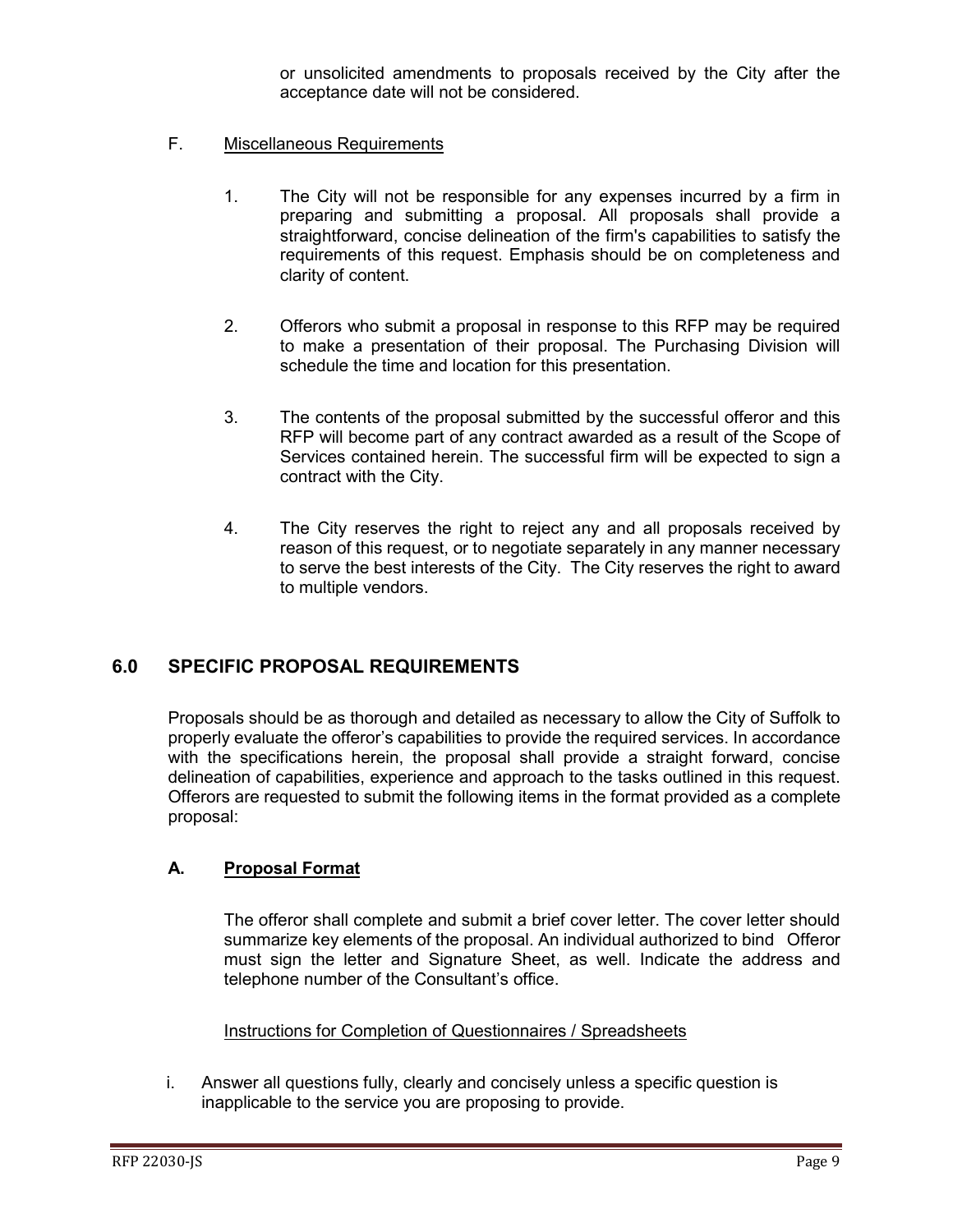or unsolicited amendments to proposals received by the City after the acceptance date will not be considered.

#### F. Miscellaneous Requirements

- 1. The City will not be responsible for any expenses incurred by a firm in preparing and submitting a proposal. All proposals shall provide a straightforward, concise delineation of the firm's capabilities to satisfy the requirements of this request. Emphasis should be on completeness and clarity of content.
- 2. Offerors who submit a proposal in response to this RFP may be required to make a presentation of their proposal. The Purchasing Division will schedule the time and location for this presentation.
- 3. The contents of the proposal submitted by the successful offeror and this RFP will become part of any contract awarded as a result of the Scope of Services contained herein. The successful firm will be expected to sign a contract with the City.
- 4. The City reserves the right to reject any and all proposals received by reason of this request, or to negotiate separately in any manner necessary to serve the best interests of the City. The City reserves the right to award to multiple vendors.

### <span id="page-8-0"></span>**6.0 SPECIFIC PROPOSAL REQUIREMENTS**

Proposals should be as thorough and detailed as necessary to allow the City of Suffolk to properly evaluate the offeror's capabilities to provide the required services. In accordance with the specifications herein, the proposal shall provide a straight forward, concise delineation of capabilities, experience and approach to the tasks outlined in this request. Offerors are requested to submit the following items in the format provided as a complete proposal:

#### **A. Proposal Format**

The offeror shall complete and submit a brief cover letter. The cover letter should summarize key elements of the proposal. An individual authorized to bind Offeror must sign the letter and Signature Sheet, as well. Indicate the address and telephone number of the Consultant's office.

#### Instructions for Completion of Questionnaires / Spreadsheets

i. Answer all questions fully, clearly and concisely unless a specific question is inapplicable to the service you are proposing to provide.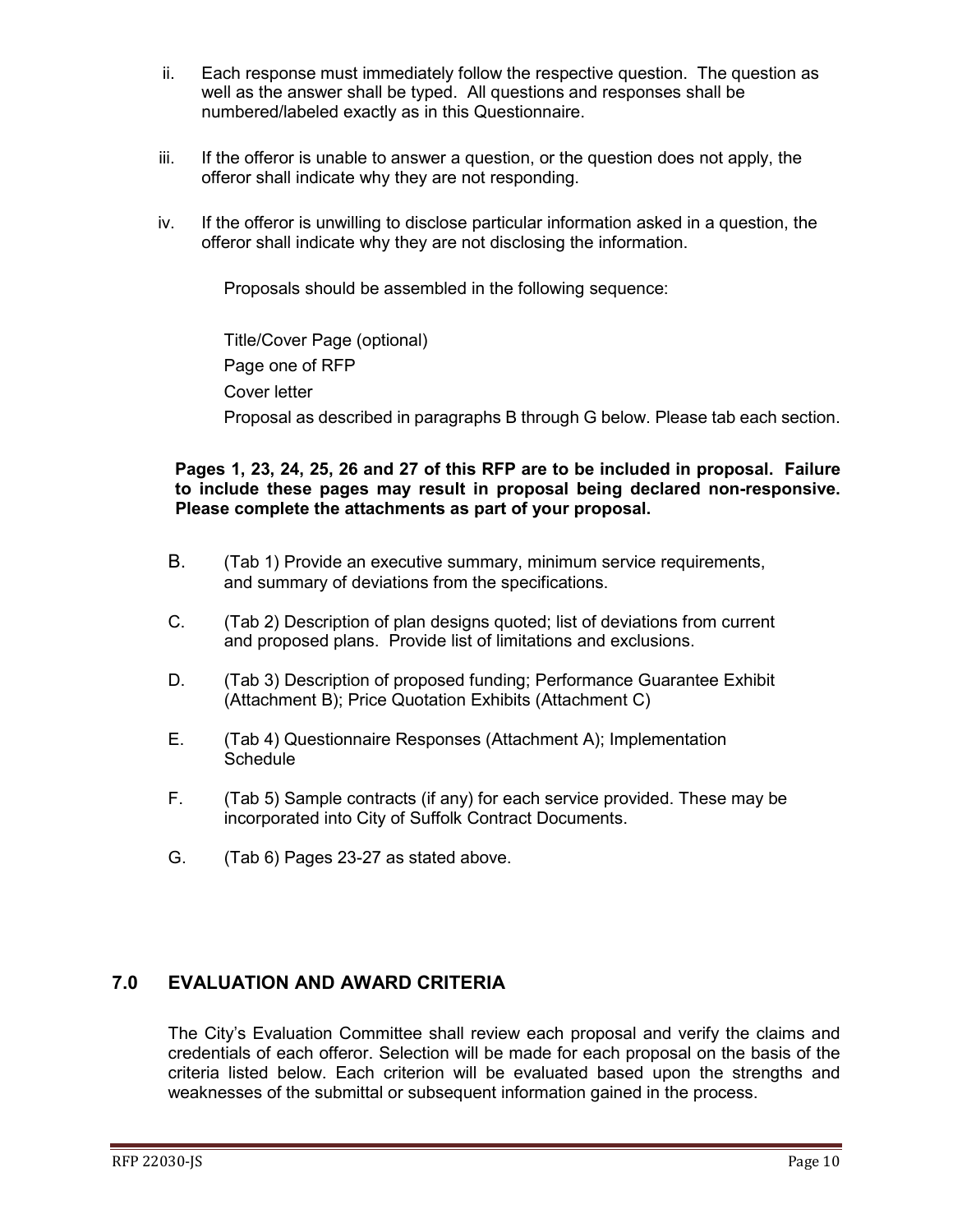- ii. Each response must immediately follow the respective question. The question as well as the answer shall be typed. All questions and responses shall be numbered/labeled exactly as in this Questionnaire.
- iii. If the offeror is unable to answer a question, or the question does not apply, the offeror shall indicate why they are not responding.
- iv. If the offeror is unwilling to disclose particular information asked in a question, the offeror shall indicate why they are not disclosing the information.

Proposals should be assembled in the following sequence:

Title/Cover Page (optional) Page one of RFP Cover letter Proposal as described in paragraphs B through G below. Please tab each section.

#### **Pages 1, 23, 24, 25, 26 and 27 of this RFP are to be included in proposal. Failure to include these pages may result in proposal being declared non-responsive. Please complete the attachments as part of your proposal.**

- B. (Tab 1) Provide an executive summary, minimum service requirements, and summary of deviations from the specifications.
- C. (Tab 2) Description of plan designs quoted; list of deviations from current and proposed plans. Provide list of limitations and exclusions.
- D. (Tab 3) Description of proposed funding; Performance Guarantee Exhibit (Attachment B); Price Quotation Exhibits (Attachment C)
- E. (Tab 4) Questionnaire Responses (Attachment A); Implementation **Schedule**
- F. (Tab 5) Sample contracts (if any) for each service provided. These may be incorporated into City of Suffolk Contract Documents.
- G. (Tab 6) Pages 23-27 as stated above.

## <span id="page-9-0"></span>**7.0 EVALUATION AND AWARD CRITERIA**

The City's Evaluation Committee shall review each proposal and verify the claims and credentials of each offeror. Selection will be made for each proposal on the basis of the criteria listed below. Each criterion will be evaluated based upon the strengths and weaknesses of the submittal or subsequent information gained in the process.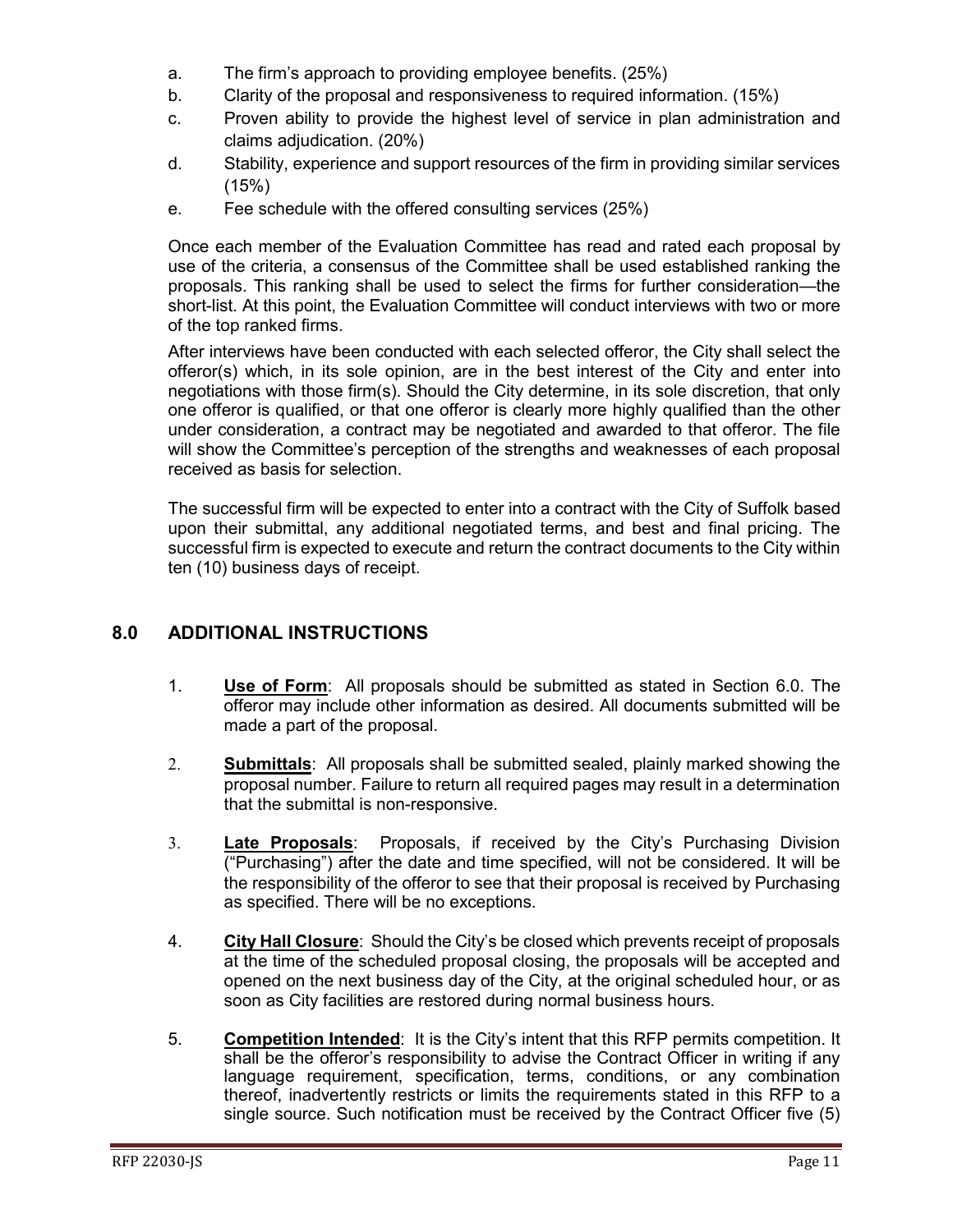- a. The firm's approach to providing employee benefits. (25%)
- b. Clarity of the proposal and responsiveness to required information. (15%)
- c. Proven ability to provide the highest level of service in plan administration and claims adjudication. (20%)
- d. Stability, experience and support resources of the firm in providing similar services (15%)
- e. Fee schedule with the offered consulting services (25%)

Once each member of the Evaluation Committee has read and rated each proposal by use of the criteria, a consensus of the Committee shall be used established ranking the proposals. This ranking shall be used to select the firms for further consideration—the short-list. At this point, the Evaluation Committee will conduct interviews with two or more of the top ranked firms.

After interviews have been conducted with each selected offeror, the City shall select the offeror(s) which, in its sole opinion, are in the best interest of the City and enter into negotiations with those firm(s). Should the City determine, in its sole discretion, that only one offeror is qualified, or that one offeror is clearly more highly qualified than the other under consideration, a contract may be negotiated and awarded to that offeror. The file will show the Committee's perception of the strengths and weaknesses of each proposal received as basis for selection.

The successful firm will be expected to enter into a contract with the City of Suffolk based upon their submittal, any additional negotiated terms, and best and final pricing. The successful firm is expected to execute and return the contract documents to the City within ten (10) business days of receipt.

## <span id="page-10-0"></span>**8.0 ADDITIONAL INSTRUCTIONS**

- 1. **Use of Form**: All proposals should be submitted as stated in Section 6.0. The offeror may include other information as desired. All documents submitted will be made a part of the proposal.
- 2. **Submittals**: All proposals shall be submitted sealed, plainly marked showing the proposal number. Failure to return all required pages may result in a determination that the submittal is non-responsive.
- 3. **Late Proposals**: Proposals, if received by the City's Purchasing Division ("Purchasing") after the date and time specified, will not be considered. It will be the responsibility of the offeror to see that their proposal is received by Purchasing as specified. There will be no exceptions.
- 4. **City Hall Closure**: Should the City's be closed which prevents receipt of proposals at the time of the scheduled proposal closing, the proposals will be accepted and opened on the next business day of the City, at the original scheduled hour, or as soon as City facilities are restored during normal business hours.
- 5. **Competition Intended**: It is the City's intent that this RFP permits competition. It shall be the offeror's responsibility to advise the Contract Officer in writing if any language requirement, specification, terms, conditions, or any combination thereof, inadvertently restricts or limits the requirements stated in this RFP to a single source. Such notification must be received by the Contract Officer five (5)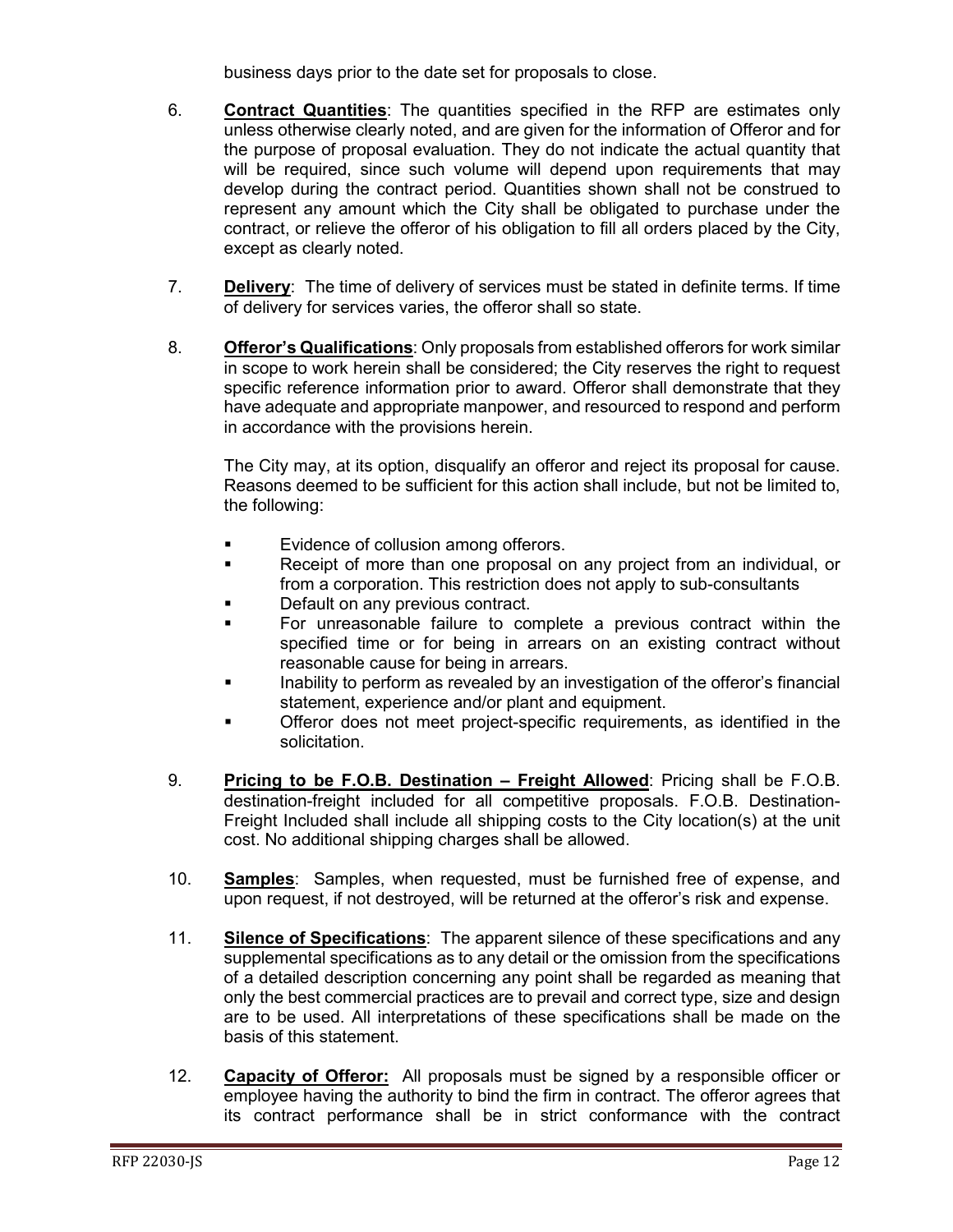business days prior to the date set for proposals to close.

- 6. **Contract Quantities**: The quantities specified in the RFP are estimates only unless otherwise clearly noted, and are given for the information of Offeror and for the purpose of proposal evaluation. They do not indicate the actual quantity that will be required, since such volume will depend upon requirements that may develop during the contract period. Quantities shown shall not be construed to represent any amount which the City shall be obligated to purchase under the contract, or relieve the offeror of his obligation to fill all orders placed by the City, except as clearly noted.
- 7. **Delivery**: The time of delivery of services must be stated in definite terms. If time of delivery for services varies, the offeror shall so state.
- 8. **Offeror's Qualifications**: Only proposals from established offerors for work similar in scope to work herein shall be considered; the City reserves the right to request specific reference information prior to award. Offeror shall demonstrate that they have adequate and appropriate manpower, and resourced to respond and perform in accordance with the provisions herein.

The City may, at its option, disqualify an offeror and reject its proposal for cause. Reasons deemed to be sufficient for this action shall include, but not be limited to, the following:

- **Evidence of collusion among offerors.**
- Receipt of more than one proposal on any project from an individual, or from a corporation. This restriction does not apply to sub-consultants
- Default on any previous contract.
- For unreasonable failure to complete a previous contract within the specified time or for being in arrears on an existing contract without reasonable cause for being in arrears.
- Inability to perform as revealed by an investigation of the offeror's financial statement, experience and/or plant and equipment.
- **The Communist Communist Communist Communist Communist Communist Communist Communist Communist Communist Communist Communist Communist Communist Communist Communist Communist Communist Communist Communist Communist Communi** solicitation.
- 9. **Pricing to be F.O.B. Destination – Freight Allowed**: Pricing shall be F.O.B. destination-freight included for all competitive proposals. F.O.B. Destination-Freight Included shall include all shipping costs to the City location(s) at the unit cost. No additional shipping charges shall be allowed.
- 10. **Samples**: Samples, when requested, must be furnished free of expense, and upon request, if not destroyed, will be returned at the offeror's risk and expense.
- 11. **Silence of Specifications**: The apparent silence of these specifications and any supplemental specifications as to any detail or the omission from the specifications of a detailed description concerning any point shall be regarded as meaning that only the best commercial practices are to prevail and correct type, size and design are to be used. All interpretations of these specifications shall be made on the basis of this statement.
- 12. **Capacity of Offeror:** All proposals must be signed by a responsible officer or employee having the authority to bind the firm in contract. The offeror agrees that its contract performance shall be in strict conformance with the contract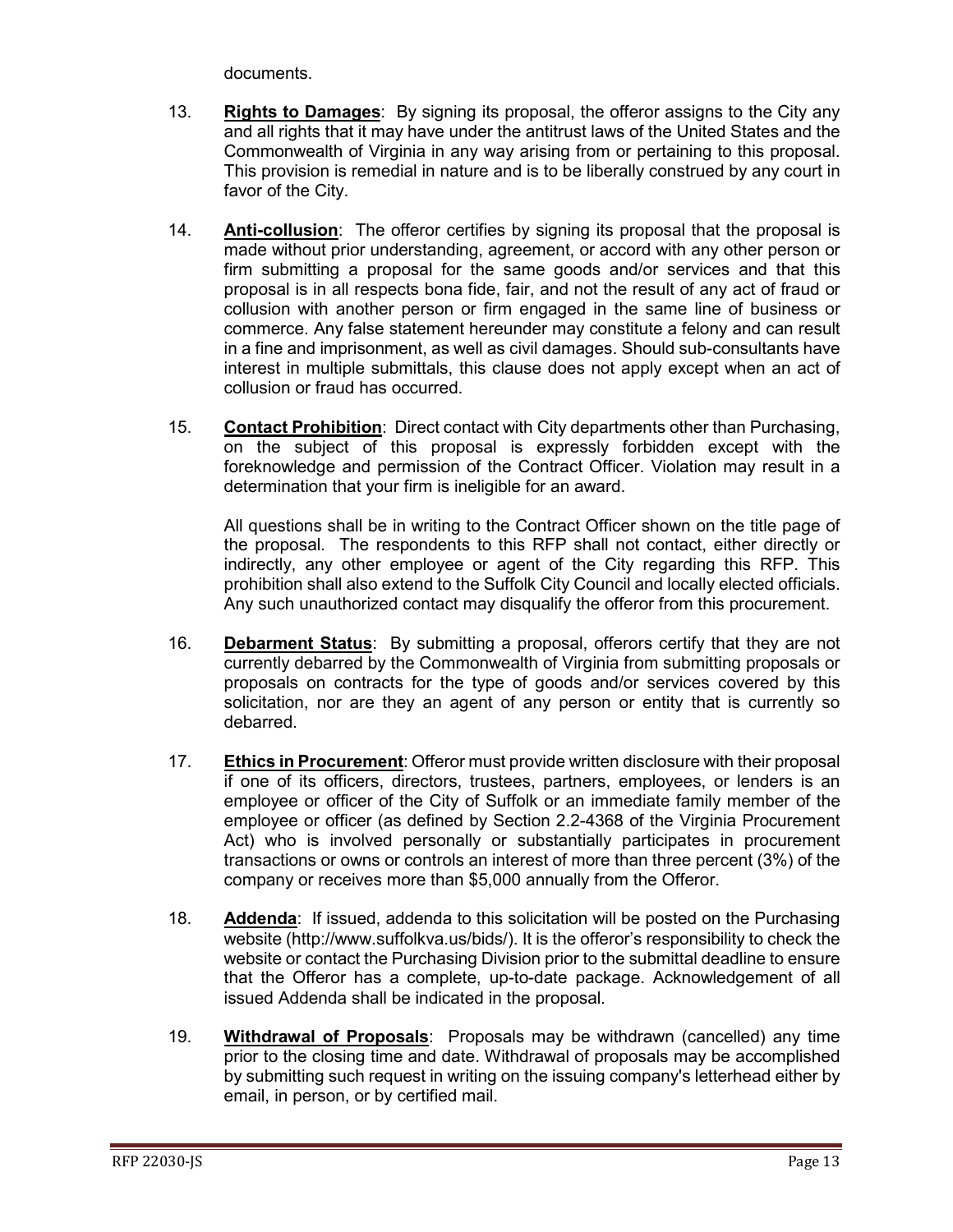documents.

- 13. **Rights to Damages**: By signing its proposal, the offeror assigns to the City any and all rights that it may have under the antitrust laws of the United States and the Commonwealth of Virginia in any way arising from or pertaining to this proposal. This provision is remedial in nature and is to be liberally construed by any court in favor of the City.
- 14. **Anti-collusion**: The offeror certifies by signing its proposal that the proposal is made without prior understanding, agreement, or accord with any other person or firm submitting a proposal for the same goods and/or services and that this proposal is in all respects bona fide, fair, and not the result of any act of fraud or collusion with another person or firm engaged in the same line of business or commerce. Any false statement hereunder may constitute a felony and can result in a fine and imprisonment, as well as civil damages. Should sub-consultants have interest in multiple submittals, this clause does not apply except when an act of collusion or fraud has occurred.
- 15. **Contact Prohibition**: Direct contact with City departments other than Purchasing, on the subject of this proposal is expressly forbidden except with the foreknowledge and permission of the Contract Officer. Violation may result in a determination that your firm is ineligible for an award.

All questions shall be in writing to the Contract Officer shown on the title page of the proposal. The respondents to this RFP shall not contact, either directly or indirectly, any other employee or agent of the City regarding this RFP. This prohibition shall also extend to the Suffolk City Council and locally elected officials. Any such unauthorized contact may disqualify the offeror from this procurement.

- 16. **Debarment Status**: By submitting a proposal, offerors certify that they are not currently debarred by the Commonwealth of Virginia from submitting proposals or proposals on contracts for the type of goods and/or services covered by this solicitation, nor are they an agent of any person or entity that is currently so debarred.
- 17. **Ethics in Procurement**: Offeror must provide written disclosure with their proposal if one of its officers, directors, trustees, partners, employees, or lenders is an employee or officer of the City of Suffolk or an immediate family member of the employee or officer (as defined by Section 2.2-4368 of the Virginia Procurement Act) who is involved personally or substantially participates in procurement transactions or owns or controls an interest of more than three percent (3%) of the company or receives more than \$5,000 annually from the Offeror.
- 18. **Addenda**: If issued, addenda to this solicitation will be posted on the Purchasing website (http://www.suffolkva.us/bids/). It is the offeror's responsibility to check the website or contact the Purchasing Division prior to the submittal deadline to ensure that the Offeror has a complete, up-to-date package. Acknowledgement of all issued Addenda shall be indicated in the proposal.
- 19. **Withdrawal of Proposals**: Proposals may be withdrawn (cancelled) any time prior to the closing time and date. Withdrawal of proposals may be accomplished by submitting such request in writing on the issuing company's letterhead either by email, in person, or by certified mail.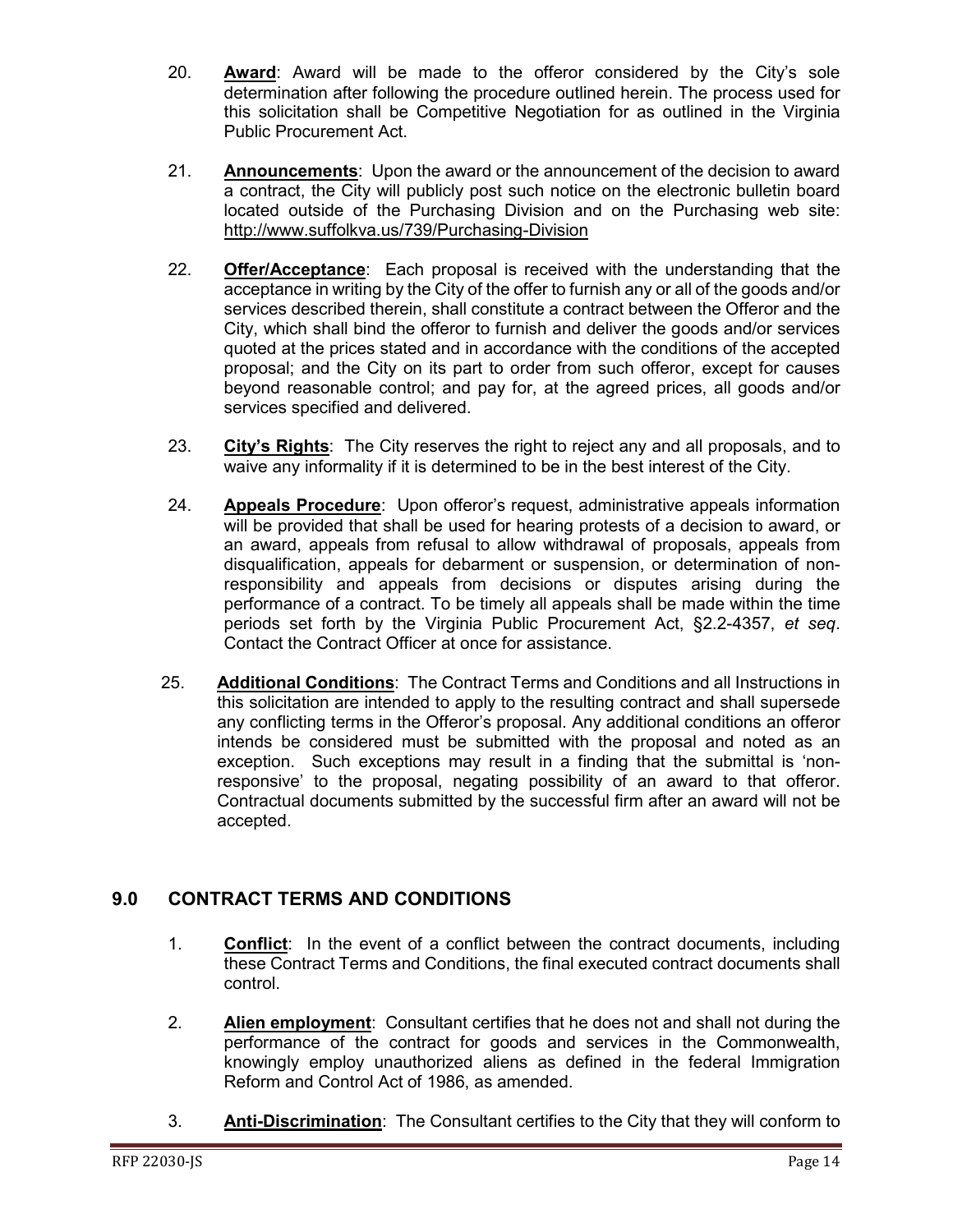- 20. **Award**: Award will be made to the offeror considered by the City's sole determination after following the procedure outlined herein. The process used for this solicitation shall be Competitive Negotiation for as outlined in the Virginia Public Procurement Act.
- 21. **Announcements**: Upon the award or the announcement of the decision to award a contract, the City will publicly post such notice on the electronic bulletin board located outside of the Purchasing Division and on the Purchasing web site: <http://www.suffolkva.us/739/Purchasing-Division>
- 22. **Offer/Acceptance**: Each proposal is received with the understanding that the acceptance in writing by the City of the offer to furnish any or all of the goods and/or services described therein, shall constitute a contract between the Offeror and the City, which shall bind the offeror to furnish and deliver the goods and/or services quoted at the prices stated and in accordance with the conditions of the accepted proposal; and the City on its part to order from such offeror, except for causes beyond reasonable control; and pay for, at the agreed prices, all goods and/or services specified and delivered.
- 23. **City's Rights**: The City reserves the right to reject any and all proposals, and to waive any informality if it is determined to be in the best interest of the City.
- 24. **Appeals Procedure**: Upon offeror's request, administrative appeals information will be provided that shall be used for hearing protests of a decision to award, or an award, appeals from refusal to allow withdrawal of proposals, appeals from disqualification, appeals for debarment or suspension, or determination of nonresponsibility and appeals from decisions or disputes arising during the performance of a contract. To be timely all appeals shall be made within the time periods set forth by the Virginia Public Procurement Act, §2.2-4357, *et seq*. Contact the Contract Officer at once for assistance.
- 25. **Additional Conditions**: The Contract Terms and Conditions and all Instructions in this solicitation are intended to apply to the resulting contract and shall supersede any conflicting terms in the Offeror's proposal. Any additional conditions an offeror intends be considered must be submitted with the proposal and noted as an exception. Such exceptions may result in a finding that the submittal is 'nonresponsive' to the proposal, negating possibility of an award to that offeror. Contractual documents submitted by the successful firm after an award will not be accepted.

## <span id="page-13-0"></span>**9.0 CONTRACT TERMS AND CONDITIONS**

- 1. **Conflict**: In the event of a conflict between the contract documents, including these Contract Terms and Conditions, the final executed contract documents shall control.
- 2. **Alien employment**: Consultant certifies that he does not and shall not during the performance of the contract for goods and services in the Commonwealth, knowingly employ unauthorized aliens as defined in the federal Immigration Reform and Control Act of 1986, as amended.
- 3. **Anti-Discrimination**: The Consultant certifies to the City that they will conform to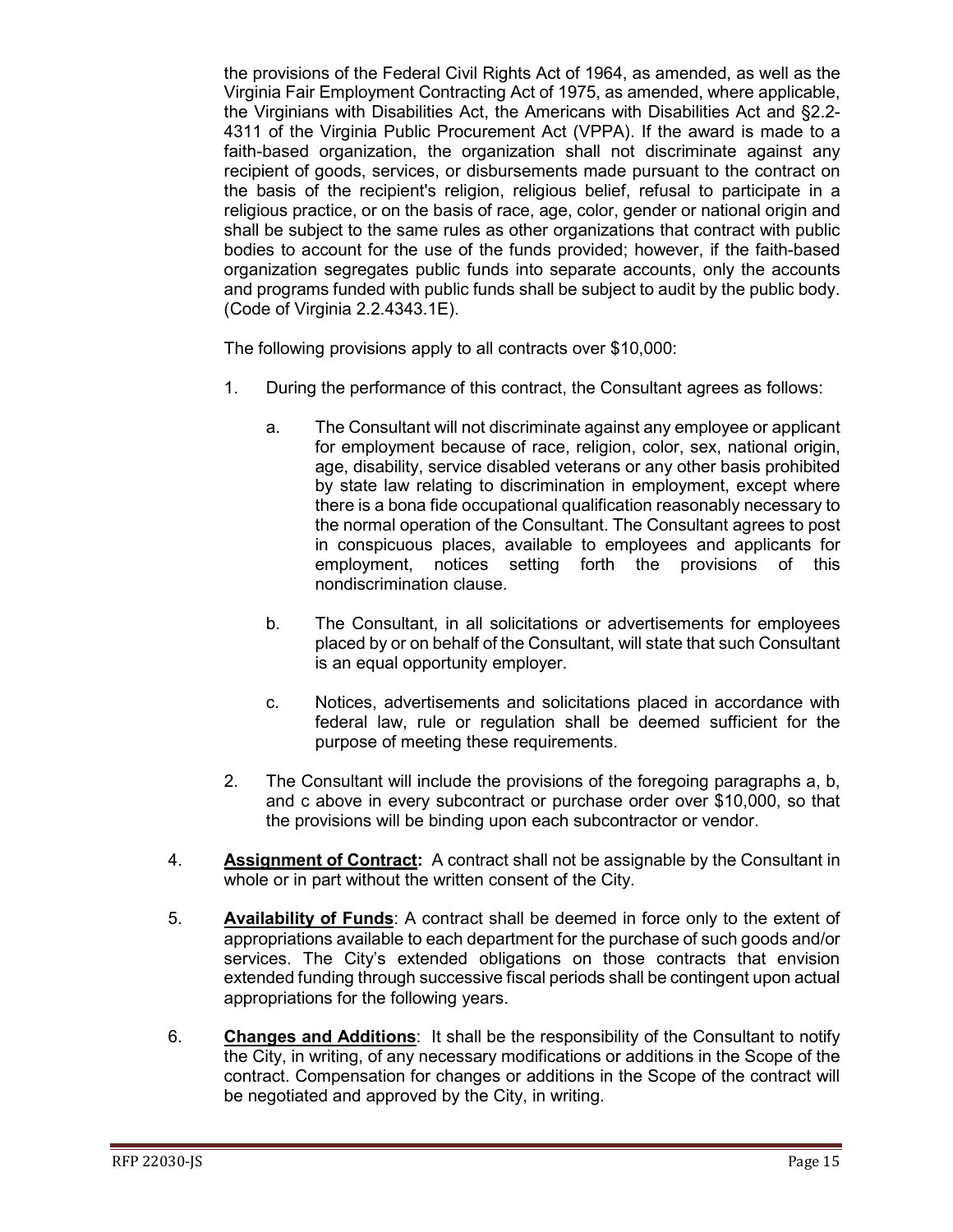the provisions of the Federal Civil Rights Act of 1964, as amended, as well as the Virginia Fair Employment Contracting Act of 1975, as amended, where applicable, the Virginians with Disabilities Act, the Americans with Disabilities Act and §2.2- 4311 of the Virginia Public Procurement Act (VPPA). If the award is made to a faith-based organization, the organization shall not discriminate against any recipient of goods, services, or disbursements made pursuant to the contract on the basis of the recipient's religion, religious belief, refusal to participate in a religious practice, or on the basis of race, age, color, gender or national origin and shall be subject to the same rules as other organizations that contract with public bodies to account for the use of the funds provided; however, if the faith-based organization segregates public funds into separate accounts, only the accounts and programs funded with public funds shall be subject to audit by the public body. (Code of Virginia 2.2.4343.1E).

The following provisions apply to all contracts over \$10,000:

- 1. During the performance of this contract, the Consultant agrees as follows:
	- a. The Consultant will not discriminate against any employee or applicant for employment because of race, religion, color, sex, national origin, age, disability, service disabled veterans or any other basis prohibited by state law relating to discrimination in employment, except where there is a bona fide occupational qualification reasonably necessary to the normal operation of the Consultant. The Consultant agrees to post in conspicuous places, available to employees and applicants for employment, notices setting forth the provisions of this nondiscrimination clause.
	- b. The Consultant, in all solicitations or advertisements for employees placed by or on behalf of the Consultant, will state that such Consultant is an equal opportunity employer.
	- c. Notices, advertisements and solicitations placed in accordance with federal law, rule or regulation shall be deemed sufficient for the purpose of meeting these requirements.
- 2. The Consultant will include the provisions of the foregoing paragraphs a, b, and c above in every subcontract or purchase order over \$10,000, so that the provisions will be binding upon each subcontractor or vendor.
- 4. **Assignment of Contract:** A contract shall not be assignable by the Consultant in whole or in part without the written consent of the City.
- 5. **Availability of Funds**: A contract shall be deemed in force only to the extent of appropriations available to each department for the purchase of such goods and/or services. The City's extended obligations on those contracts that envision extended funding through successive fiscal periods shall be contingent upon actual appropriations for the following years.
- 6. **Changes and Additions**: It shall be the responsibility of the Consultant to notify the City, in writing, of any necessary modifications or additions in the Scope of the contract. Compensation for changes or additions in the Scope of the contract will be negotiated and approved by the City, in writing.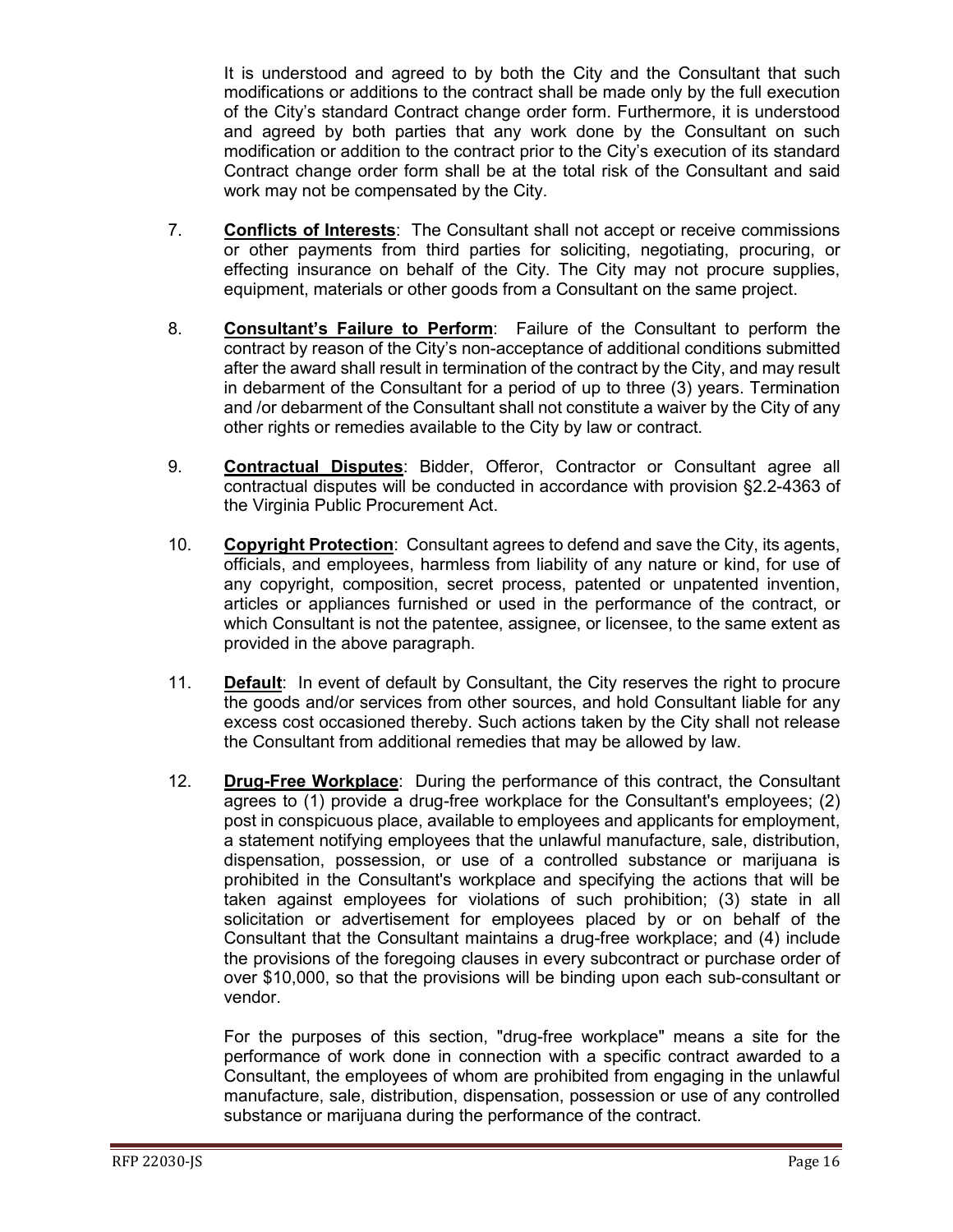It is understood and agreed to by both the City and the Consultant that such modifications or additions to the contract shall be made only by the full execution of the City's standard Contract change order form. Furthermore, it is understood and agreed by both parties that any work done by the Consultant on such modification or addition to the contract prior to the City's execution of its standard Contract change order form shall be at the total risk of the Consultant and said work may not be compensated by the City.

- 7. **Conflicts of Interests**: The Consultant shall not accept or receive commissions or other payments from third parties for soliciting, negotiating, procuring, or effecting insurance on behalf of the City. The City may not procure supplies, equipment, materials or other goods from a Consultant on the same project.
- 8. **Consultant's Failure to Perform**: Failure of the Consultant to perform the contract by reason of the City's non-acceptance of additional conditions submitted after the award shall result in termination of the contract by the City, and may result in debarment of the Consultant for a period of up to three (3) years. Termination and /or debarment of the Consultant shall not constitute a waiver by the City of any other rights or remedies available to the City by law or contract.
- 9. **Contractual Disputes**: Bidder, Offeror, Contractor or Consultant agree all contractual disputes will be conducted in accordance with provision §2.2-4363 of the Virginia Public Procurement Act.
- 10. **Copyright Protection**: Consultant agrees to defend and save the City, its agents, officials, and employees, harmless from liability of any nature or kind, for use of any copyright, composition, secret process, patented or unpatented invention, articles or appliances furnished or used in the performance of the contract, or which Consultant is not the patentee, assignee, or licensee, to the same extent as provided in the above paragraph.
- 11. **Default**: In event of default by Consultant, the City reserves the right to procure the goods and/or services from other sources, and hold Consultant liable for any excess cost occasioned thereby. Such actions taken by the City shall not release the Consultant from additional remedies that may be allowed by law.
- 12. **Drug-Free Workplace**: During the performance of this contract, the Consultant agrees to (1) provide a drug-free workplace for the Consultant's employees; (2) post in conspicuous place, available to employees and applicants for employment, a statement notifying employees that the unlawful manufacture, sale, distribution, dispensation, possession, or use of a controlled substance or marijuana is prohibited in the Consultant's workplace and specifying the actions that will be taken against employees for violations of such prohibition; (3) state in all solicitation or advertisement for employees placed by or on behalf of the Consultant that the Consultant maintains a drug-free workplace; and (4) include the provisions of the foregoing clauses in every subcontract or purchase order of over \$10,000, so that the provisions will be binding upon each sub-consultant or vendor.

For the purposes of this section, "drug-free workplace" means a site for the performance of work done in connection with a specific contract awarded to a Consultant, the employees of whom are prohibited from engaging in the unlawful manufacture, sale, distribution, dispensation, possession or use of any controlled substance or marijuana during the performance of the contract.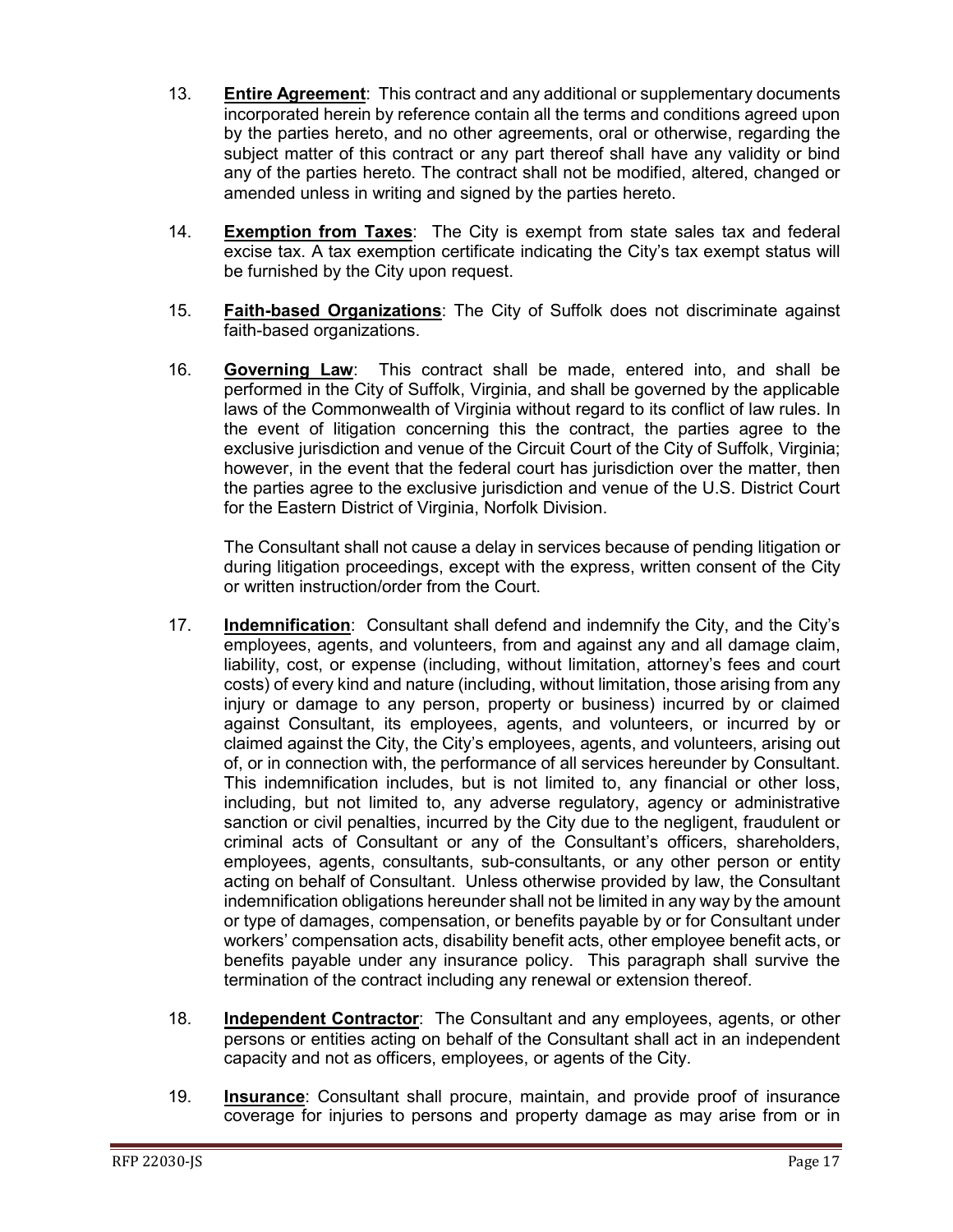- 13. **Entire Agreement**: This contract and any additional or supplementary documents incorporated herein by reference contain all the terms and conditions agreed upon by the parties hereto, and no other agreements, oral or otherwise, regarding the subject matter of this contract or any part thereof shall have any validity or bind any of the parties hereto. The contract shall not be modified, altered, changed or amended unless in writing and signed by the parties hereto.
- 14. **Exemption from Taxes**: The City is exempt from state sales tax and federal excise tax. A tax exemption certificate indicating the City's tax exempt status will be furnished by the City upon request.
- 15. **Faith-based Organizations**: The City of Suffolk does not discriminate against faith-based organizations.
- 16. **Governing Law**: This contract shall be made, entered into, and shall be performed in the City of Suffolk, Virginia, and shall be governed by the applicable laws of the Commonwealth of Virginia without regard to its conflict of law rules. In the event of litigation concerning this the contract, the parties agree to the exclusive jurisdiction and venue of the Circuit Court of the City of Suffolk, Virginia; however, in the event that the federal court has jurisdiction over the matter, then the parties agree to the exclusive jurisdiction and venue of the U.S. District Court for the Eastern District of Virginia, Norfolk Division.

The Consultant shall not cause a delay in services because of pending litigation or during litigation proceedings, except with the express, written consent of the City or written instruction/order from the Court.

- 17. **Indemnification**: Consultant shall defend and indemnify the City, and the City's employees, agents, and volunteers, from and against any and all damage claim, liability, cost, or expense (including, without limitation, attorney's fees and court costs) of every kind and nature (including, without limitation, those arising from any injury or damage to any person, property or business) incurred by or claimed against Consultant, its employees, agents, and volunteers, or incurred by or claimed against the City, the City's employees, agents, and volunteers, arising out of, or in connection with, the performance of all services hereunder by Consultant. This indemnification includes, but is not limited to, any financial or other loss, including, but not limited to, any adverse regulatory, agency or administrative sanction or civil penalties, incurred by the City due to the negligent, fraudulent or criminal acts of Consultant or any of the Consultant's officers, shareholders, employees, agents, consultants, sub-consultants, or any other person or entity acting on behalf of Consultant. Unless otherwise provided by law, the Consultant indemnification obligations hereunder shall not be limited in any way by the amount or type of damages, compensation, or benefits payable by or for Consultant under workers' compensation acts, disability benefit acts, other employee benefit acts, or benefits payable under any insurance policy. This paragraph shall survive the termination of the contract including any renewal or extension thereof.
- 18. **Independent Contractor**: The Consultant and any employees, agents, or other persons or entities acting on behalf of the Consultant shall act in an independent capacity and not as officers, employees, or agents of the City.
- 19. **Insurance**: Consultant shall procure, maintain, and provide proof of insurance coverage for injuries to persons and property damage as may arise from or in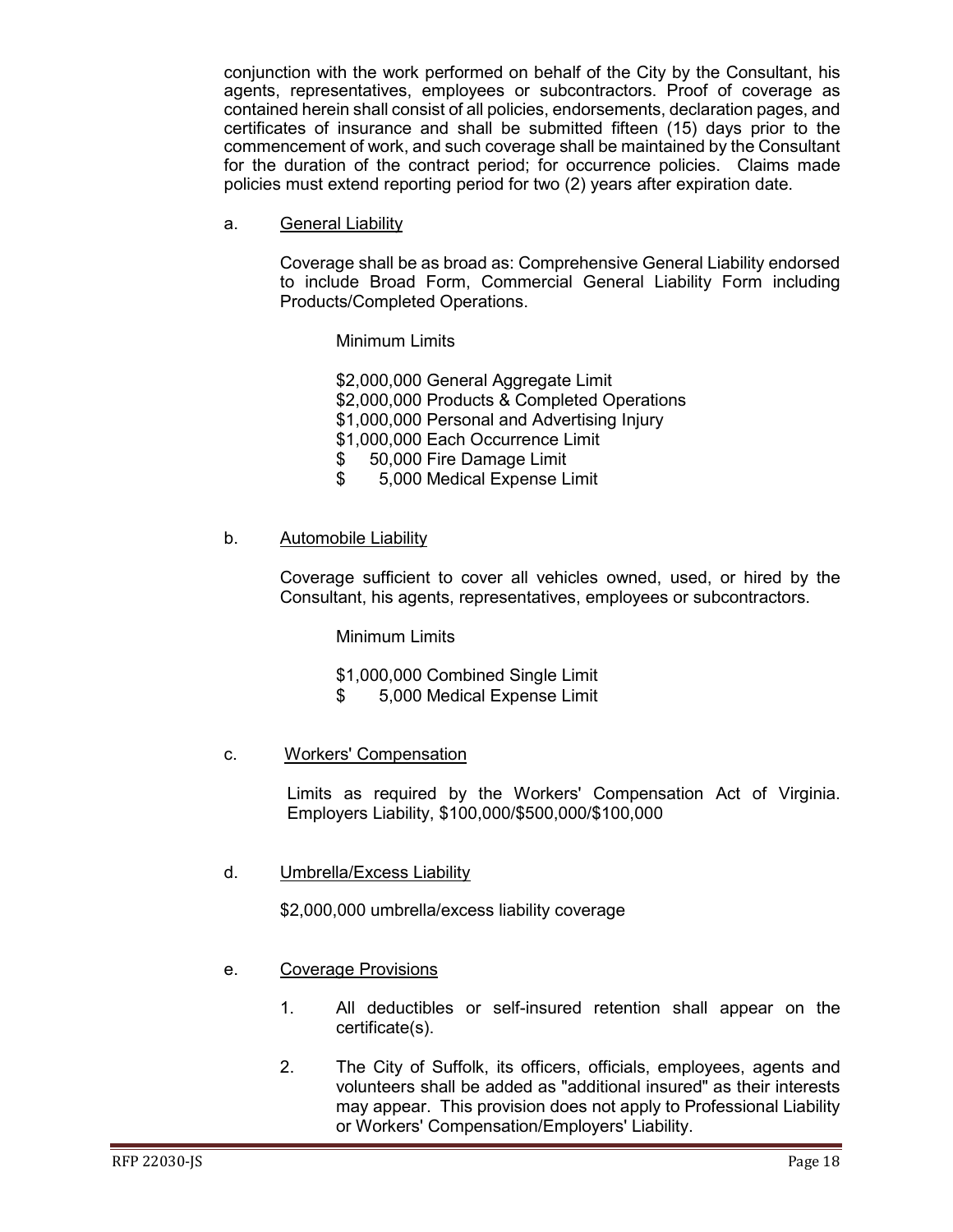conjunction with the work performed on behalf of the City by the Consultant, his agents, representatives, employees or subcontractors. Proof of coverage as contained herein shall consist of all policies, endorsements, declaration pages, and certificates of insurance and shall be submitted fifteen (15) days prior to the commencement of work, and such coverage shall be maintained by the Consultant for the duration of the contract period; for occurrence policies. Claims made policies must extend reporting period for two (2) years after expiration date.

a. General Liability

Coverage shall be as broad as: Comprehensive General Liability endorsed to include Broad Form, Commercial General Liability Form including Products/Completed Operations.

Minimum Limits

\$2,000,000 General Aggregate Limit \$2,000,000 Products & Completed Operations \$1,000,000 Personal and Advertising Injury \$1,000,000 Each Occurrence Limit

\$ 50,000 Fire Damage Limit<br>\$ 5,000 Medical Expense L \$ 5,000 Medical Expense Limit

#### b. Automobile Liability

Coverage sufficient to cover all vehicles owned, used, or hired by the Consultant, his agents, representatives, employees or subcontractors.

Minimum Limits

\$1,000,000 Combined Single Limit

- \$ 5,000 Medical Expense Limit
- c. Workers' Compensation

Limits as required by the Workers' Compensation Act of Virginia. Employers Liability, \$100,000/\$500,000/\$100,000

d. Umbrella/Excess Liability

\$2,000,000 umbrella/excess liability coverage

#### e. Coverage Provisions

- 1. All deductibles or self-insured retention shall appear on the certificate(s).
- 2. The City of Suffolk, its officers, officials, employees, agents and volunteers shall be added as "additional insured" as their interests may appear. This provision does not apply to Professional Liability or Workers' Compensation/Employers' Liability.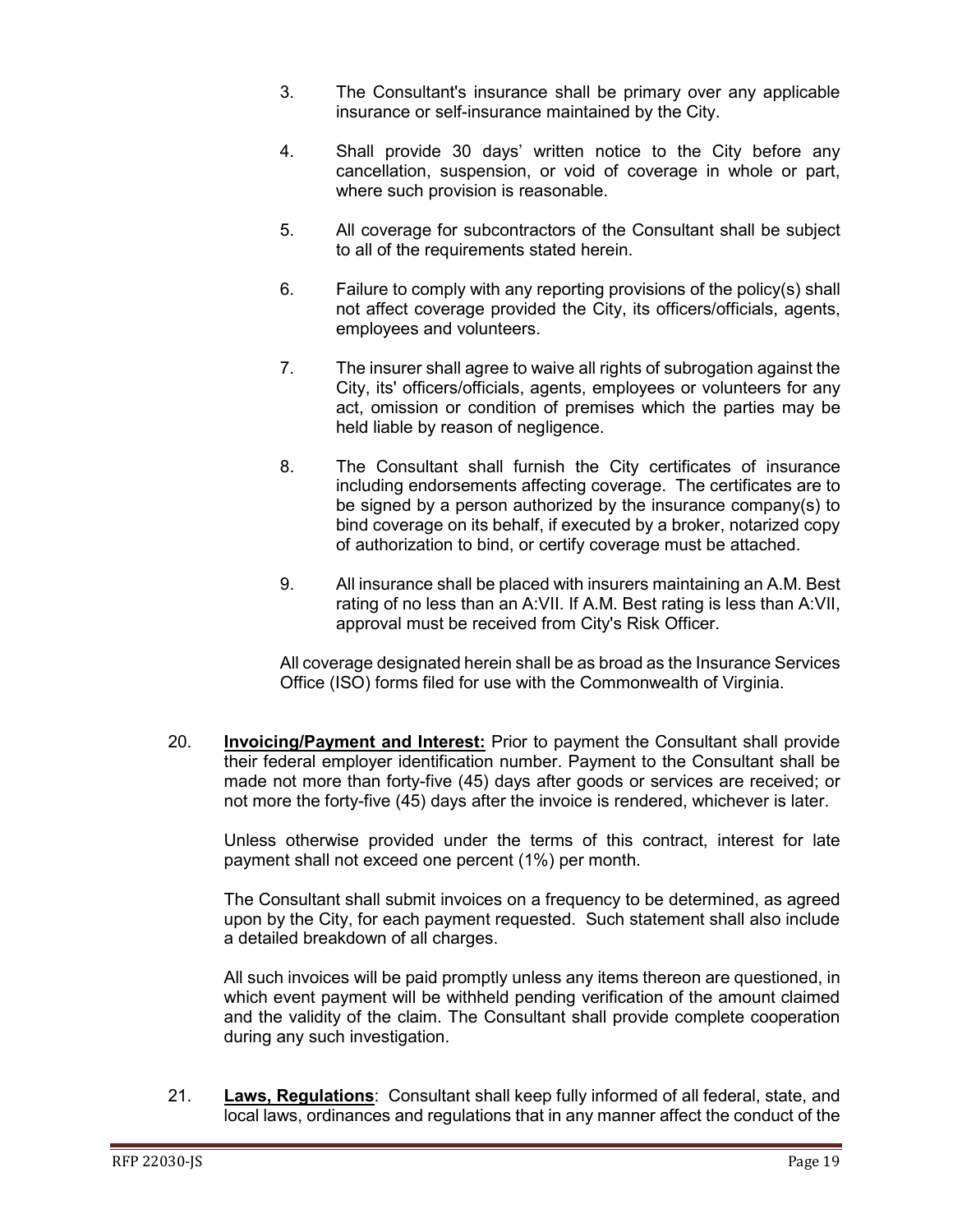- 3. The Consultant's insurance shall be primary over any applicable insurance or self-insurance maintained by the City.
- 4. Shall provide 30 days' written notice to the City before any cancellation, suspension, or void of coverage in whole or part, where such provision is reasonable.
- 5. All coverage for subcontractors of the Consultant shall be subject to all of the requirements stated herein.
- 6. Failure to comply with any reporting provisions of the policy(s) shall not affect coverage provided the City, its officers/officials, agents, employees and volunteers.
- 7. The insurer shall agree to waive all rights of subrogation against the City, its' officers/officials, agents, employees or volunteers for any act, omission or condition of premises which the parties may be held liable by reason of negligence.
- 8. The Consultant shall furnish the City certificates of insurance including endorsements affecting coverage. The certificates are to be signed by a person authorized by the insurance company(s) to bind coverage on its behalf, if executed by a broker, notarized copy of authorization to bind, or certify coverage must be attached.
- 9. All insurance shall be placed with insurers maintaining an A.M. Best rating of no less than an A:VII. If A.M. Best rating is less than A:VII, approval must be received from City's Risk Officer.

All coverage designated herein shall be as broad as the Insurance Services Office (ISO) forms filed for use with the Commonwealth of Virginia.

20. **Invoicing/Payment and Interest:** Prior to payment the Consultant shall provide their federal employer identification number. Payment to the Consultant shall be made not more than forty-five (45) days after goods or services are received; or not more the forty-five (45) days after the invoice is rendered, whichever is later.

Unless otherwise provided under the terms of this contract, interest for late payment shall not exceed one percent (1%) per month.

The Consultant shall submit invoices on a frequency to be determined, as agreed upon by the City, for each payment requested. Such statement shall also include a detailed breakdown of all charges.

All such invoices will be paid promptly unless any items thereon are questioned, in which event payment will be withheld pending verification of the amount claimed and the validity of the claim. The Consultant shall provide complete cooperation during any such investigation.

21. **Laws, Regulations**: Consultant shall keep fully informed of all federal, state, and local laws, ordinances and regulations that in any manner affect the conduct of the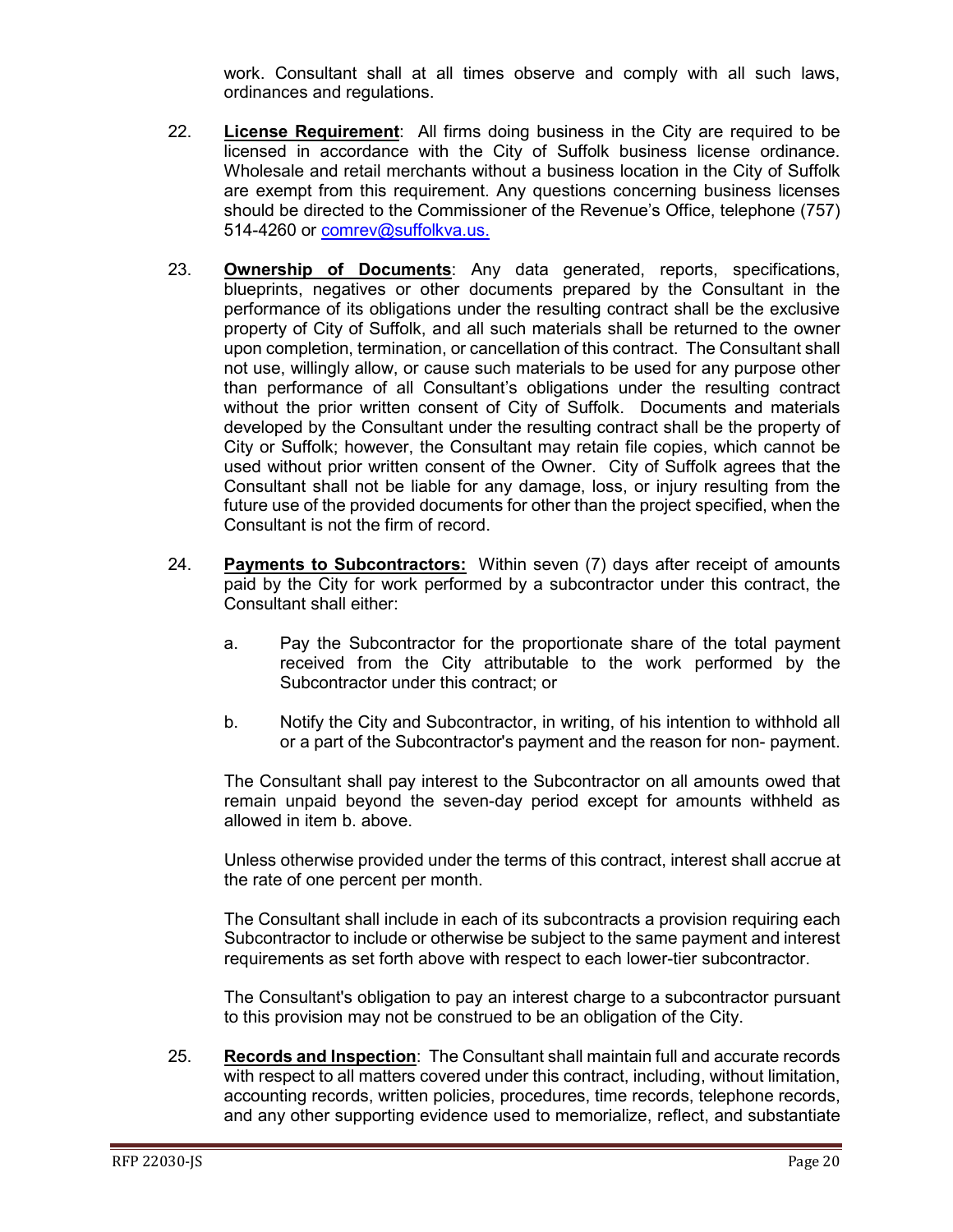work. Consultant shall at all times observe and comply with all such laws, ordinances and regulations.

- 22. **License Requirement**: All firms doing business in the City are required to be licensed in accordance with the City of Suffolk business license ordinance. Wholesale and retail merchants without a business location in the City of Suffolk are exempt from this requirement. Any questions concerning business licenses should be directed to the Commissioner of the Revenue's Office, telephone (757) 514-4260 or [comrev@suffolkva.us.](mailto:comrev@suffolkva.us)
- 23. **Ownership of Documents**: Any data generated, reports, specifications, blueprints, negatives or other documents prepared by the Consultant in the performance of its obligations under the resulting contract shall be the exclusive property of City of Suffolk, and all such materials shall be returned to the owner upon completion, termination, or cancellation of this contract. The Consultant shall not use, willingly allow, or cause such materials to be used for any purpose other than performance of all Consultant's obligations under the resulting contract without the prior written consent of City of Suffolk. Documents and materials developed by the Consultant under the resulting contract shall be the property of City or Suffolk; however, the Consultant may retain file copies, which cannot be used without prior written consent of the Owner. City of Suffolk agrees that the Consultant shall not be liable for any damage, loss, or injury resulting from the future use of the provided documents for other than the project specified, when the Consultant is not the firm of record.
- 24. **Payments to Subcontractors:** Within seven (7) days after receipt of amounts paid by the City for work performed by a subcontractor under this contract, the Consultant shall either:
	- a. Pay the Subcontractor for the proportionate share of the total payment received from the City attributable to the work performed by the Subcontractor under this contract; or
	- b. Notify the City and Subcontractor, in writing, of his intention to withhold all or a part of the Subcontractor's payment and the reason for non- payment.

The Consultant shall pay interest to the Subcontractor on all amounts owed that remain unpaid beyond the seven-day period except for amounts withheld as allowed in item b. above.

Unless otherwise provided under the terms of this contract, interest shall accrue at the rate of one percent per month.

The Consultant shall include in each of its subcontracts a provision requiring each Subcontractor to include or otherwise be subject to the same payment and interest requirements as set forth above with respect to each lower-tier subcontractor.

The Consultant's obligation to pay an interest charge to a subcontractor pursuant to this provision may not be construed to be an obligation of the City.

25. **Records and Inspection**: The Consultant shall maintain full and accurate records with respect to all matters covered under this contract, including, without limitation, accounting records, written policies, procedures, time records, telephone records, and any other supporting evidence used to memorialize, reflect, and substantiate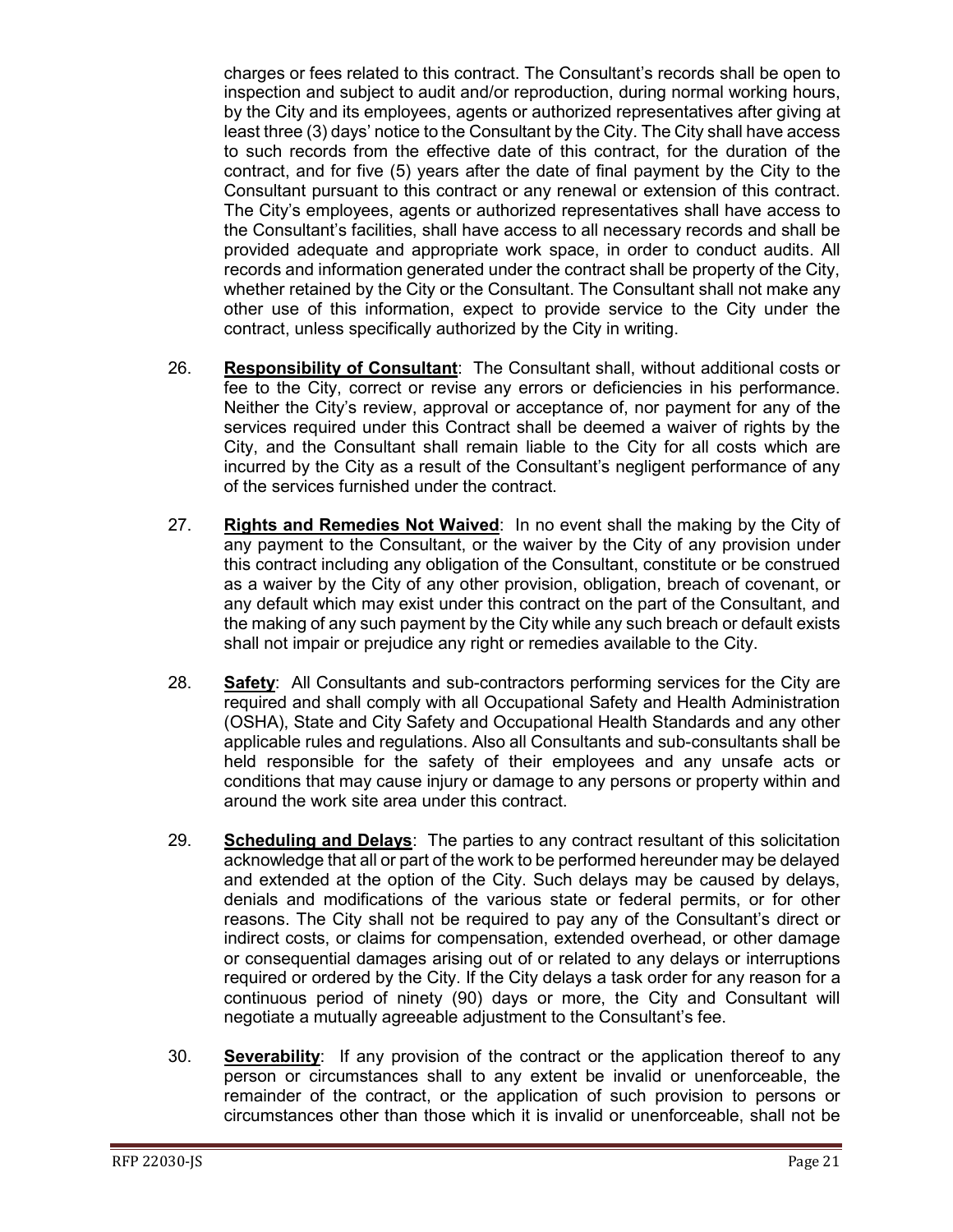charges or fees related to this contract. The Consultant's records shall be open to inspection and subject to audit and/or reproduction, during normal working hours, by the City and its employees, agents or authorized representatives after giving at least three (3) days' notice to the Consultant by the City. The City shall have access to such records from the effective date of this contract, for the duration of the contract, and for five (5) years after the date of final payment by the City to the Consultant pursuant to this contract or any renewal or extension of this contract. The City's employees, agents or authorized representatives shall have access to the Consultant's facilities, shall have access to all necessary records and shall be provided adequate and appropriate work space, in order to conduct audits. All records and information generated under the contract shall be property of the City, whether retained by the City or the Consultant. The Consultant shall not make any other use of this information, expect to provide service to the City under the contract, unless specifically authorized by the City in writing.

- 26. **Responsibility of Consultant**: The Consultant shall, without additional costs or fee to the City, correct or revise any errors or deficiencies in his performance. Neither the City's review, approval or acceptance of, nor payment for any of the services required under this Contract shall be deemed a waiver of rights by the City, and the Consultant shall remain liable to the City for all costs which are incurred by the City as a result of the Consultant's negligent performance of any of the services furnished under the contract.
- 27. **Rights and Remedies Not Waived**: In no event shall the making by the City of any payment to the Consultant, or the waiver by the City of any provision under this contract including any obligation of the Consultant, constitute or be construed as a waiver by the City of any other provision, obligation, breach of covenant, or any default which may exist under this contract on the part of the Consultant, and the making of any such payment by the City while any such breach or default exists shall not impair or prejudice any right or remedies available to the City.
- 28. **Safety**: All Consultants and sub-contractors performing services for the City are required and shall comply with all Occupational Safety and Health Administration (OSHA), State and City Safety and Occupational Health Standards and any other applicable rules and regulations. Also all Consultants and sub-consultants shall be held responsible for the safety of their employees and any unsafe acts or conditions that may cause injury or damage to any persons or property within and around the work site area under this contract.
- 29. **Scheduling and Delays**: The parties to any contract resultant of this solicitation acknowledge that all or part of the work to be performed hereunder may be delayed and extended at the option of the City. Such delays may be caused by delays, denials and modifications of the various state or federal permits, or for other reasons. The City shall not be required to pay any of the Consultant's direct or indirect costs, or claims for compensation, extended overhead, or other damage or consequential damages arising out of or related to any delays or interruptions required or ordered by the City. If the City delays a task order for any reason for a continuous period of ninety (90) days or more, the City and Consultant will negotiate a mutually agreeable adjustment to the Consultant's fee.
- 30. **Severability**: If any provision of the contract or the application thereof to any person or circumstances shall to any extent be invalid or unenforceable, the remainder of the contract, or the application of such provision to persons or circumstances other than those which it is invalid or unenforceable, shall not be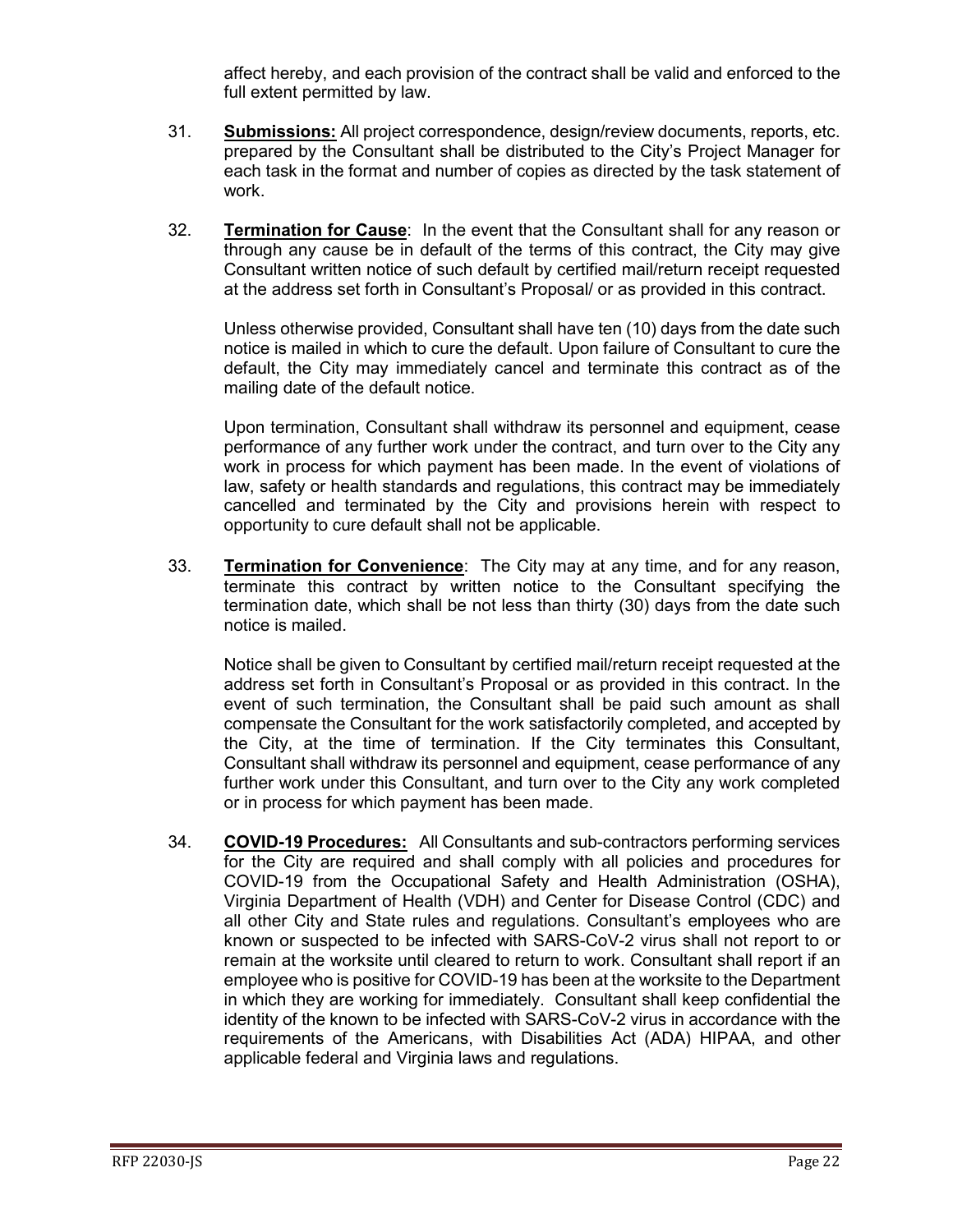affect hereby, and each provision of the contract shall be valid and enforced to the full extent permitted by law.

- 31. **Submissions:** All project correspondence, design/review documents, reports, etc. prepared by the Consultant shall be distributed to the City's Project Manager for each task in the format and number of copies as directed by the task statement of work.
- 32. **Termination for Cause**: In the event that the Consultant shall for any reason or through any cause be in default of the terms of this contract, the City may give Consultant written notice of such default by certified mail/return receipt requested at the address set forth in Consultant's Proposal/ or as provided in this contract.

Unless otherwise provided, Consultant shall have ten (10) days from the date such notice is mailed in which to cure the default. Upon failure of Consultant to cure the default, the City may immediately cancel and terminate this contract as of the mailing date of the default notice.

Upon termination, Consultant shall withdraw its personnel and equipment, cease performance of any further work under the contract, and turn over to the City any work in process for which payment has been made. In the event of violations of law, safety or health standards and regulations, this contract may be immediately cancelled and terminated by the City and provisions herein with respect to opportunity to cure default shall not be applicable.

33. **Termination for Convenience**: The City may at any time, and for any reason, terminate this contract by written notice to the Consultant specifying the termination date, which shall be not less than thirty (30) days from the date such notice is mailed.

Notice shall be given to Consultant by certified mail/return receipt requested at the address set forth in Consultant's Proposal or as provided in this contract. In the event of such termination, the Consultant shall be paid such amount as shall compensate the Consultant for the work satisfactorily completed, and accepted by the City, at the time of termination. If the City terminates this Consultant, Consultant shall withdraw its personnel and equipment, cease performance of any further work under this Consultant, and turn over to the City any work completed or in process for which payment has been made.

34. **COVID-19 Procedures:** All Consultants and sub-contractors performing services for the City are required and shall comply with all policies and procedures for COVID-19 from the Occupational Safety and Health Administration (OSHA), Virginia Department of Health (VDH) and Center for Disease Control (CDC) and all other City and State rules and regulations. Consultant's employees who are known or suspected to be infected with SARS-CoV-2 virus shall not report to or remain at the worksite until cleared to return to work. Consultant shall report if an employee who is positive for COVID-19 has been at the worksite to the Department in which they are working for immediately. Consultant shall keep confidential the identity of the known to be infected with SARS-CoV-2 virus in accordance with the requirements of the Americans, with Disabilities Act (ADA) HIPAA, and other applicable federal and Virginia laws and regulations.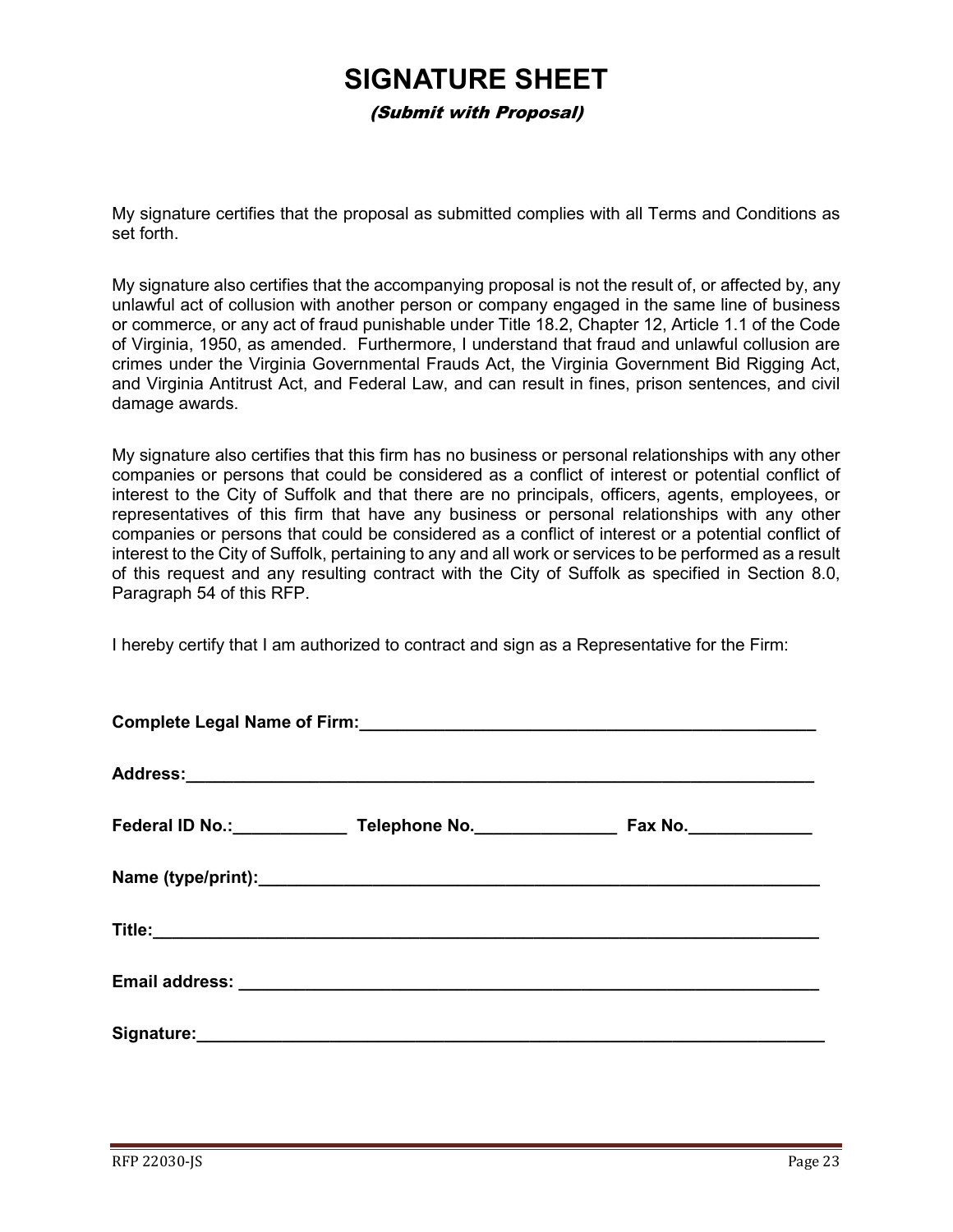## **SIGNATURE SHEET**

#### (Submit with Proposal)

<span id="page-22-0"></span>My signature certifies that the proposal as submitted complies with all Terms and Conditions as set forth.

My signature also certifies that the accompanying proposal is not the result of, or affected by, any unlawful act of collusion with another person or company engaged in the same line of business or commerce, or any act of fraud punishable under Title 18.2, Chapter 12, Article 1.1 of the Code of Virginia, 1950, as amended. Furthermore, I understand that fraud and unlawful collusion are crimes under the Virginia Governmental Frauds Act, the Virginia Government Bid Rigging Act, and Virginia Antitrust Act, and Federal Law, and can result in fines, prison sentences, and civil damage awards.

My signature also certifies that this firm has no business or personal relationships with any other companies or persons that could be considered as a conflict of interest or potential conflict of interest to the City of Suffolk and that there are no principals, officers, agents, employees, or representatives of this firm that have any business or personal relationships with any other companies or persons that could be considered as a conflict of interest or a potential conflict of interest to the City of Suffolk, pertaining to any and all work or services to be performed as a result of this request and any resulting contract with the City of Suffolk as specified in Section 8.0, Paragraph 54 of this RFP.

I hereby certify that I am authorized to contract and sign as a Representative for the Firm:

|  | Signature: Signature: Signature: Signature: Signature: Signature: Signature: Signature: Signature: Signature: Signature: Signature: Signature: Signature: Signature: Signature: Signature: Signature: Signature: Signature: Si |  |
|--|--------------------------------------------------------------------------------------------------------------------------------------------------------------------------------------------------------------------------------|--|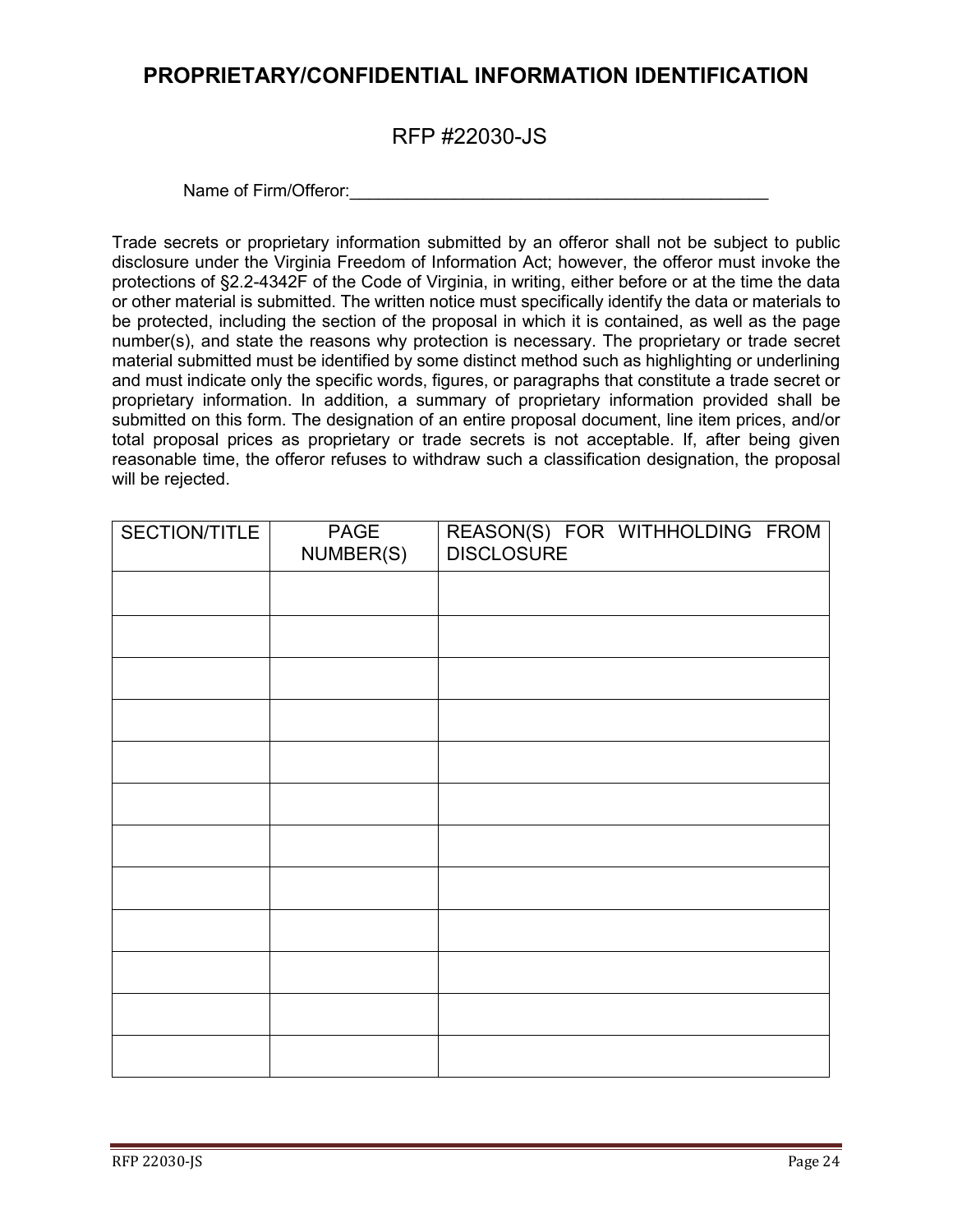## <span id="page-23-0"></span>**PROPRIETARY/CONFIDENTIAL INFORMATION IDENTIFICATION**

RFP #22030-JS

Name of Firm/Offeror:\_\_\_\_\_\_\_\_\_\_\_\_\_\_\_\_\_\_\_\_\_\_\_\_\_\_\_\_\_\_\_\_\_\_\_\_\_\_\_\_\_\_\_\_

Trade secrets or proprietary information submitted by an offeror shall not be subject to public disclosure under the Virginia Freedom of Information Act; however, the offeror must invoke the protections of §2.2-4342F of the Code of Virginia, in writing, either before or at the time the data or other material is submitted. The written notice must specifically identify the data or materials to be protected, including the section of the proposal in which it is contained, as well as the page number(s), and state the reasons why protection is necessary. The proprietary or trade secret material submitted must be identified by some distinct method such as highlighting or underlining and must indicate only the specific words, figures, or paragraphs that constitute a trade secret or proprietary information. In addition, a summary of proprietary information provided shall be submitted on this form. The designation of an entire proposal document, line item prices, and/or total proposal prices as proprietary or trade secrets is not acceptable. If, after being given reasonable time, the offeror refuses to withdraw such a classification designation, the proposal will be rejected.

| SECTION/TITLE | <b>PAGE</b><br>NUMBER(S) | REASON(S) FOR WITHHOLDING FROM<br><b>DISCLOSURE</b> |
|---------------|--------------------------|-----------------------------------------------------|
|               |                          |                                                     |
|               |                          |                                                     |
|               |                          |                                                     |
|               |                          |                                                     |
|               |                          |                                                     |
|               |                          |                                                     |
|               |                          |                                                     |
|               |                          |                                                     |
|               |                          |                                                     |
|               |                          |                                                     |
|               |                          |                                                     |
|               |                          |                                                     |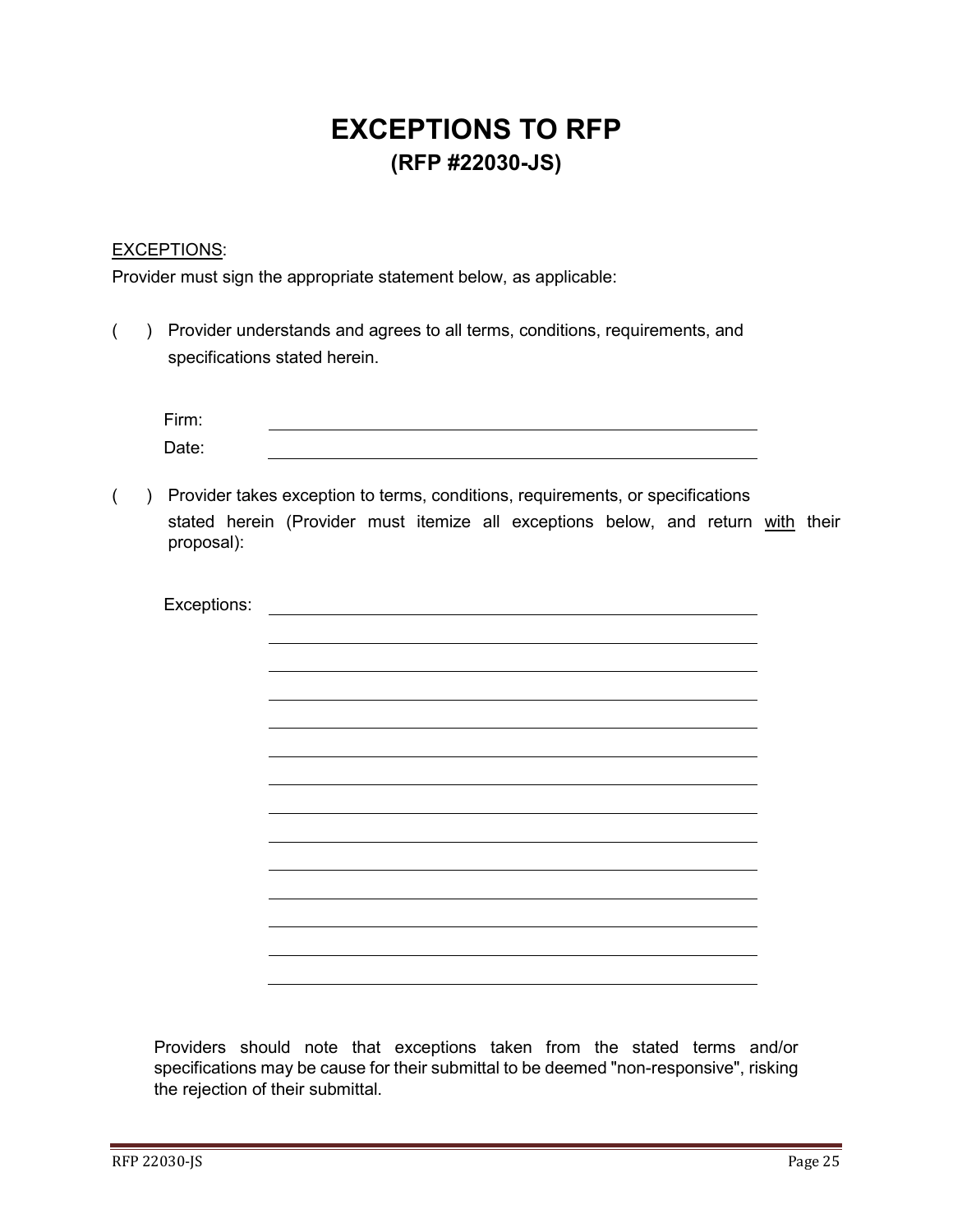# **EXCEPTIONS TO RFP (RFP #22030-JS)**

#### <span id="page-24-0"></span>EXCEPTIONS:

Provider must sign the appropriate statement below, as applicable:

( ) Provider understands and agrees to all terms, conditions, requirements, and specifications stated herein.

| Firm: |  |  |
|-------|--|--|
| Date: |  |  |

( ) Provider takes exception to terms, conditions, requirements, or specifications stated herein (Provider must itemize all exceptions below, and return with their proposal):

| Exceptions: |  |
|-------------|--|
|             |  |
|             |  |
|             |  |
|             |  |
|             |  |
|             |  |
|             |  |
|             |  |
|             |  |
|             |  |
|             |  |
|             |  |
|             |  |
|             |  |
|             |  |

Providers should note that exceptions taken from the stated terms and/or specifications may be cause for their submittal to be deemed "non-responsive", risking the rejection of their submittal.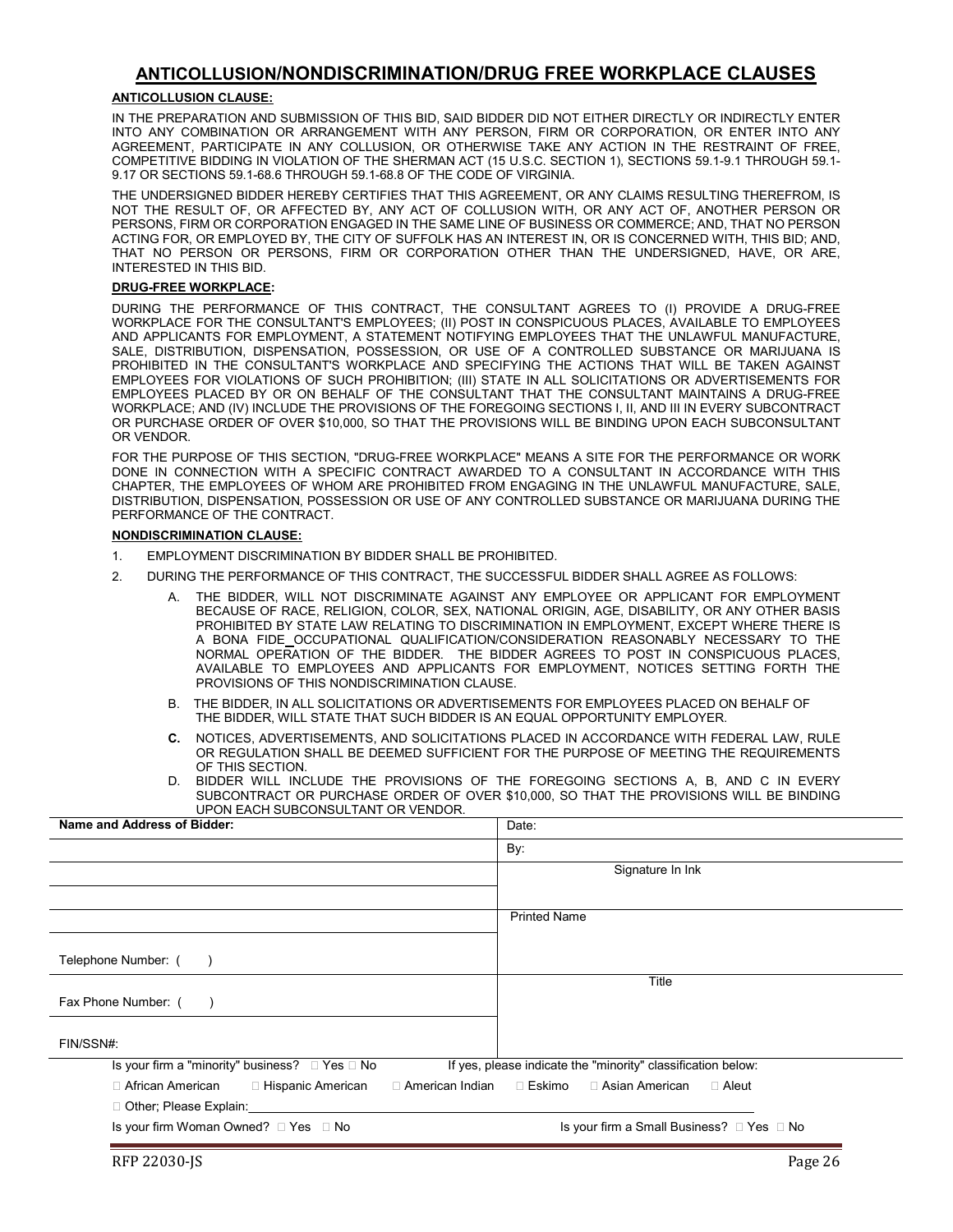#### <span id="page-25-0"></span>**ANTICOLLUSION/NONDISCRIMINATION/DRUG FREE WORKPLACE CLAUSES**

#### **ANTICOLLUSION CLAUSE:**

IN THE PREPARATION AND SUBMISSION OF THIS BID, SAID BIDDER DID NOT EITHER DIRECTLY OR INDIRECTLY ENTER INTO ANY COMBINATION OR ARRANGEMENT WITH ANY PERSON, FIRM OR CORPORATION, OR ENTER INTO ANY AGREEMENT, PARTICIPATE IN ANY COLLUSION, OR OTHERWISE TAKE ANY ACTION IN THE RESTRAINT OF FREE, COMPETITIVE BIDDING IN VIOLATION OF THE SHERMAN ACT (15 U.S.C. SECTION 1), SECTIONS 59.1-9.1 THROUGH 59.1- 9.17 OR SECTIONS 59.1-68.6 THROUGH 59.1-68.8 OF THE CODE OF VIRGINIA.

THE UNDERSIGNED BIDDER HEREBY CERTIFIES THAT THIS AGREEMENT, OR ANY CLAIMS RESULTING THEREFROM, IS NOT THE RESULT OF, OR AFFECTED BY, ANY ACT OF COLLUSION WITH, OR ANY ACT OF, ANOTHER PERSON OR PERSONS, FIRM OR CORPORATION ENGAGED IN THE SAME LINE OF BUSINESS OR COMMERCE; AND, THAT NO PERSON ACTING FOR, OR EMPLOYED BY, THE CITY OF SUFFOLK HAS AN INTEREST IN, OR IS CONCERNED WITH, THIS BID; AND, THAT NO PERSON OR PERSONS, FIRM OR CORPORATION OTHER THAN THE UNDERSIGNED, HAVE, OR ARE, INTERESTED IN THIS BID.

#### **DRUG-FREE WORKPLACE:**

DURING THE PERFORMANCE OF THIS CONTRACT, THE CONSULTANT AGREES TO (I) PROVIDE A DRUG-FREE WORKPLACE FOR THE CONSULTANT'S EMPLOYEES; (II) POST IN CONSPICUOUS PLACES, AVAILABLE TO EMPLOYEES AND APPLICANTS FOR EMPLOYMENT, A STATEMENT NOTIFYING EMPLOYEES THAT THE UNLAWFUL MANUFACTURE, SALE, DISTRIBUTION, DISPENSATION, POSSESSION, OR USE OF A CONTROLLED SUBSTANCE OR MARIJUANA IS PROHIBITED IN THE CONSULTANT'S WORKPLACE AND SPECIFYING THE ACTIONS THAT WILL BE TAKEN AGAINST EMPLOYEES FOR VIOLATIONS OF SUCH PROHIBITION; (III) STATE IN ALL SOLICITATIONS OR ADVERTISEMENTS FOR EMPLOYEES PLACED BY OR ON BEHALF OF THE CONSULTANT THAT THE CONSULTANT MAINTAINS A DRUG-FREE WORKPLACE; AND (IV) INCLUDE THE PROVISIONS OF THE FOREGOING SECTIONS I, II, AND III IN EVERY SUBCONTRACT OR PURCHASE ORDER OF OVER \$10,000, SO THAT THE PROVISIONS WILL BE BINDING UPON EACH SUBCONSULTANT OR VENDOR.

FOR THE PURPOSE OF THIS SECTION, "DRUG-FREE WORKPLACE" MEANS A SITE FOR THE PERFORMANCE OR WORK DONE IN CONNECTION WITH A SPECIFIC CONTRACT AWARDED TO A CONSULTANT IN ACCORDANCE WITH THIS CHAPTER, THE EMPLOYEES OF WHOM ARE PROHIBITED FROM ENGAGING IN THE UNLAWFUL MANUFACTURE, SALE, DISTRIBUTION, DISPENSATION, POSSESSION OR USE OF ANY CONTROLLED SUBSTANCE OR MARIJUANA DURING THE PERFORMANCE OF THE CONTRACT.

#### **NONDISCRIMINATION CLAUSE:**

- 1. EMPLOYMENT DISCRIMINATION BY BIDDER SHALL BE PROHIBITED.
- 2. DURING THE PERFORMANCE OF THIS CONTRACT, THE SUCCESSFUL BIDDER SHALL AGREE AS FOLLOWS:
	- A. THE BIDDER, WILL NOT DISCRIMINATE AGAINST ANY EMPLOYEE OR APPLICANT FOR EMPLOYMENT BECAUSE OF RACE, RELIGION, COLOR, SEX, NATIONAL ORIGIN, AGE, DISABILITY, OR ANY OTHER BASIS PROHIBITED BY STATE LAW RELATING TO DISCRIMINATION IN EMPLOYMENT, EXCEPT WHERE THERE IS A BONA FIDE OCCUPATIONAL QUALIFICATION/CONSIDERATION REASONABLY NECESSARY TO THE NORMAL OPERATION OF THE BIDDER. THE BIDDER AGREES TO POST IN CONSPICUOUS PLACES, AVAILABLE TO EMPLOYEES AND APPLICANTS FOR EMPLOYMENT, NOTICES SETTING FORTH THE PROVISIONS OF THIS NONDISCRIMINATION CLAUSE.
	- B. THE BIDDER, IN ALL SOLICITATIONS OR ADVERTISEMENTS FOR EMPLOYEES PLACED ON BEHALF OF THE BIDDER, WILL STATE THAT SUCH BIDDER IS AN EQUAL OPPORTUNITY EMPLOYER.
	- **C.** NOTICES, ADVERTISEMENTS, AND SOLICITATIONS PLACED IN ACCORDANCE WITH FEDERAL LAW, RULE OR REGULATION SHALL BE DEEMED SUFFICIENT FOR THE PURPOSE OF MEETING THE REQUIREMENTS OF THIS SECTION.
	- D. BIDDER WILL INCLUDE THE PROVISIONS OF THE FOREGOING SECTIONS A, B, AND C IN EVERY SUBCONTRACT OR PURCHASE ORDER OF OVER \$10,000, SO THAT THE PROVISIONS WILL BE BINDING UPON EACH SUBCONSULTANT OR VENDOR.

| Date:                                                           |
|-----------------------------------------------------------------|
| By:                                                             |
| Signature In Ink                                                |
|                                                                 |
| <b>Printed Name</b>                                             |
|                                                                 |
|                                                                 |
| Title                                                           |
|                                                                 |
|                                                                 |
|                                                                 |
| If yes, please indicate the "minority" classification below:    |
| □ American Indian  □ Eskimo<br>□ Asian American<br>$\Box$ Aleut |
|                                                                 |
| Is your firm a Small Business? □ Yes □ No                       |
|                                                                 |